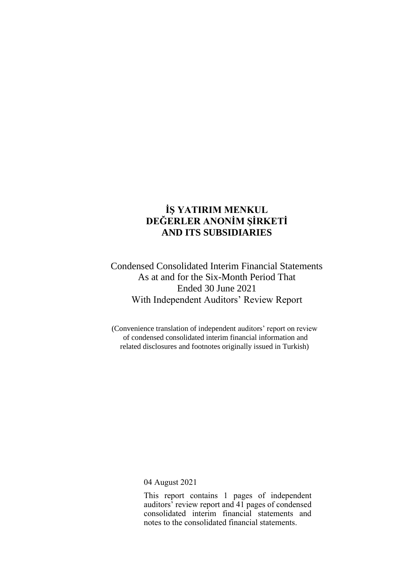Condensed Consolidated Interim Financial Statements As at and for the Six-Month Period That Ended 30 June 2021 With Independent Auditors' Review Report

(Convenience translation of independent auditors' report on review of condensed consolidated interim financial information and related disclosures and footnotes originally issued in Turkish)

04 August 2021

This report contains 1 pages of independent auditors' review report and 41 pages of condensed consolidated interim financial statements and notes to the consolidated financial statements.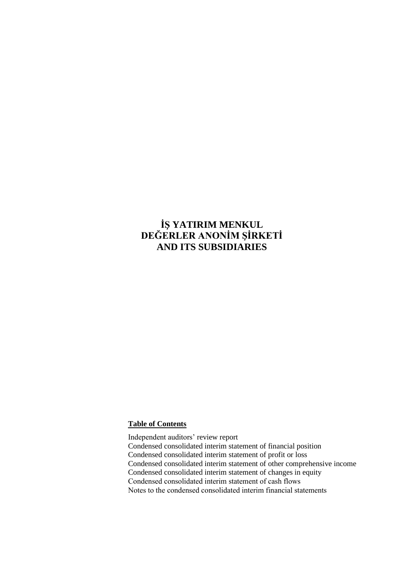# **Table of Contents**

Independent auditors' review report Condensed consolidated interim statement of financial position Condensed consolidated interim statement of profit or loss Condensed consolidated interim statement of other comprehensive income Condensed consolidated interim statement of changes in equity Condensed consolidated interim statement of cash flows Notes to the condensed consolidated interim financial statements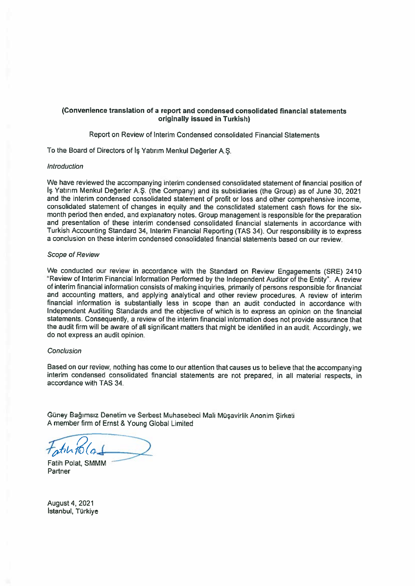### (Convenience translation of <sup>a</sup> repor<sup>t</sup> and condensed consolidated financial statements originally issued in Turkish)

Report on Review of Interim Condensed consolidated Financial Statements

To the Board of Directors of iş Yatırım Menkul Değerler A.Ş.

#### Introduction

We have reviewed the accompanying interim condensed consolidated statement of fınancial position of Is Yatırım Menkul Değerler A.Ş. (the Company) and its subsidiaries (the Group) as of June 30, 2021 and the interim condensed consolidated statement of profit or loss and other comprehensive income. consolidated statement of changes in equity and the consolidated statement cash flows for the six month period then ended, and explanatory notes. Group managemen<sup>t</sup> is responsible for the preparation and presentation of these interim condensed consolidated fınancial statements in accordance with Turkish Accounting Standard 34, Interim Financial Repoding (TAS 34). Our responsibility is to express <sup>a</sup> conclusion on these interim condensed consolidated fınancial statements based on our review.

#### Scope of Review

We conducted our review in accordance with the Standard on Review Engagements (SRE) 2410 °Review of Interim Financial Information Performed by the lndependent Auditor of the Entity". <sup>A</sup> review of interim fınancial information consists of making inquiries, primarily of persons responsible for fınancial and accounting matters, and applying analytical and other review procedures. <sup>A</sup> review of interim fınancial information is substantially less in scope than an audit conducted in accordance with lndependent Auditing Standards and the objective of which is to express an opinion on the financial statements. Consequently, <sup>a</sup> review of the interim fınancial information does not provide assurance that the audit fırm wiil be aware of alI signifıcant matters that might be identified in an audit. Accordingly, we do not express an audit opinion.

#### Conclusion

Based on our review, nothing has come to our attention that causes us to believe that the accompanying interim condensed consolidated fınancial statements are not prepared, in alI material respects, in accordance with TAS 34.

Güney Bağımsız Denetim ve Serbest Muhasebeci Mali Müşavirlik Anonim Şirketi A member firm of Ernst 8 Young Global Limited

 $\int_{0}^{\pi}\int_{0}^{\pi}\int_{0}^{\pi}\int_{0}^{\pi}\int_{0}^{\pi}\int_{0}^{\pi}\int_{0}^{\pi}\int_{0}^{\pi}\int_{0}^{\pi}\int_{0}^{\pi}\int_{0}^{\pi}\int_{0}^{\pi}\int_{0}^{\pi}\int_{0}^{\pi}\int_{0}^{\pi}\int_{0}^{\pi}\int_{0}^{\pi}\int_{0}^{\pi}\int_{0}^{\pi}\int_{0}^{\pi}\int_{0}^{\pi}\int_{0}^{\pi}\int_{0}^{\pi}\int_{0}^{\pi}\int_{0}^{\pi}\int_{0}^{\pi}\int_{0}^{\pi}\int_{0$ 

Fatih Polat, SMMM **Partner** 

August4, 2021 Istanbul, Türkiye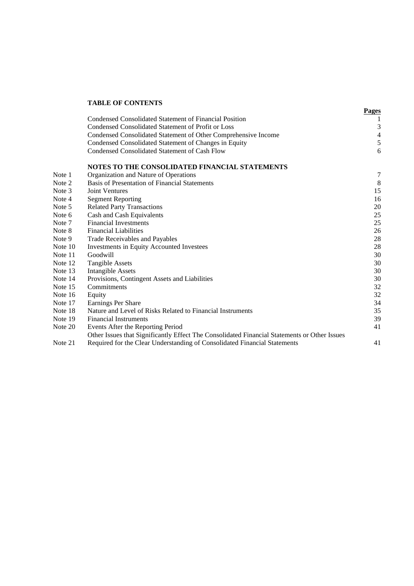### **TABLE OF CONTENTS**

|           |                                                                                              | <b>Pages</b>     |
|-----------|----------------------------------------------------------------------------------------------|------------------|
|           | Condensed Consolidated Statement of Financial Position                                       | 1                |
|           | Condensed Consolidated Statement of Profit or Loss                                           | 3                |
|           | Condensed Consolidated Statement of Other Comprehensive Income                               | $\overline{4}$   |
|           | Condensed Consolidated Statement of Changes in Equity                                        | 5                |
|           | Condensed Consolidated Statement of Cash Flow                                                | 6                |
|           | NOTES TO THE CONSOLIDATED FINANCIAL STATEMENTS                                               |                  |
| Note 1    | Organization and Nature of Operations                                                        | $\boldsymbol{7}$ |
| Note 2    | Basis of Presentation of Financial Statements                                                | 8                |
| Note 3    | <b>Joint Ventures</b>                                                                        | 15               |
| Note 4    | <b>Segment Reporting</b>                                                                     | 16               |
| Note 5    | <b>Related Party Transactions</b>                                                            | 20               |
| Note 6    | Cash and Cash Equivalents                                                                    | 25               |
| Note 7    | <b>Financial Investments</b>                                                                 | 25               |
| Note 8    | <b>Financial Liabilities</b>                                                                 | 26               |
| Note 9    | Trade Receivables and Payables                                                               | 28               |
| Note $10$ | Investments in Equity Accounted Investees                                                    | 28               |
| Note 11   | Goodwill                                                                                     | 30               |
| Note 12   | <b>Tangible Assets</b>                                                                       | 30               |
| Note 13   | <b>Intangible Assets</b>                                                                     | 30               |
| Note 14   | Provisions, Contingent Assets and Liabilities                                                | 30               |
| Note 15   | Commitments                                                                                  | 32               |
| Note 16   | Equity                                                                                       | 32               |
| Note 17   | Earnings Per Share                                                                           | 34               |
| Note 18   | Nature and Level of Risks Related to Financial Instruments                                   | 35               |
| Note 19   | <b>Financial Instruments</b>                                                                 | 39               |
| Note 20   | Events After the Reporting Period                                                            | 41               |
|           | Other Issues that Significantly Effect The Consolidated Financial Statements or Other Issues |                  |
| Note 21   | Required for the Clear Understanding of Consolidated Financial Statements                    | 41               |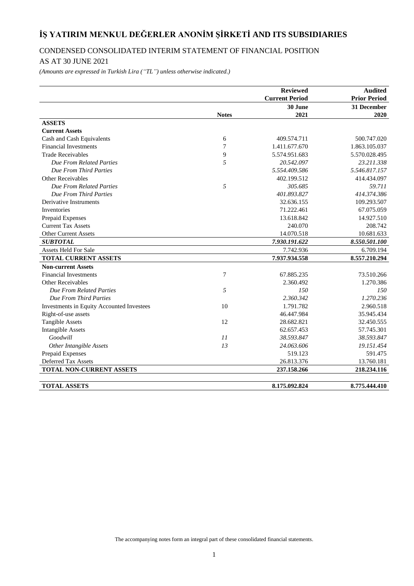# CONDENSED CONSOLIDATED INTERIM STATEMENT OF FINANCIAL POSITION

# AS AT 30 JUNE 2021

*(Amounts are expressed in Turkish Lira ("TL") unless otherwise indicated.)*

|                                           |              | <b>Reviewed</b>       | <b>Audited</b>      |
|-------------------------------------------|--------------|-----------------------|---------------------|
|                                           |              | <b>Current Period</b> | <b>Prior Period</b> |
|                                           |              | 30 June               | 31 December         |
|                                           | <b>Notes</b> | 2021                  | 2020                |
| <b>ASSETS</b>                             |              |                       |                     |
| <b>Current Assets</b>                     |              |                       |                     |
| Cash and Cash Equivalents                 | 6            | 409.574.711           | 500.747.020         |
| <b>Financial Investments</b>              | 7            | 1.411.677.670         | 1.863.105.037       |
| <b>Trade Receivables</b>                  | 9            | 5.574.951.683         | 5.570.028.495       |
| <b>Due From Related Parties</b>           | 5            | 20.542.097            | 23.211.338          |
| Due From Third Parties                    |              | 5.554.409.586         | 5.546.817.157       |
| Other Receivables                         |              | 402.199.512           | 414.434.097         |
| Due From Related Parties                  | 5            | 305.685               | 59.711              |
| Due From Third Parties                    |              | 401.893.827           | 414.374.386         |
| Derivative Instruments                    |              | 32.636.155            | 109.293.507         |
| Inventories                               |              | 71.222.461            | 67.075.059          |
| Prepaid Expenses                          |              | 13.618.842            | 14.927.510          |
| <b>Current Tax Assets</b>                 |              | 240.070               | 208.742             |
| Other Current Assets                      |              | 14.070.518            | 10.681.633          |
| <b>SUBTOTAL</b>                           |              | 7.930.191.622         | 8.550.501.100       |
| <b>Assets Held For Sale</b>               |              | 7.742.936             | 6.709.194           |
| <b>TOTAL CURRENT ASSETS</b>               |              | 7.937.934.558         | 8.557.210.294       |
| <b>Non-current Assets</b>                 |              |                       |                     |
| <b>Financial Investments</b>              | 7            | 67.885.235            | 73.510.266          |
| Other Receivables                         |              | 2.360.492             | 1.270.386           |
| <b>Due From Related Parties</b>           | 5            | 150                   | 150                 |
| Due From Third Parties                    |              | 2.360.342             | 1.270.236           |
| Investments in Equity Accounted Investees | 10           | 1.791.782             | 2.960.518           |
| Right-of-use assets                       |              | 46.447.984            | 35.945.434          |
| <b>Tangible Assets</b>                    | 12           | 28.682.821            | 32.450.555          |
| <b>Intangible Assets</b>                  |              | 62.657.453            | 57.745.301          |
| Goodwill                                  | II           | 38.593.847            | 38.593.847          |
| Other Intangible Assets                   | 13           | 24.063.606            | 19.151.454          |
| Prepaid Expenses                          |              | 519.123               | 591.475             |
| Deferred Tax Assets                       |              | 26.813.376            | 13.760.181          |
| TOTAL NON-CURRENT ASSETS                  |              | 237.158.266           | 218.234.116         |
|                                           |              |                       |                     |
| <b>TOTAL ASSETS</b>                       |              | 8.175.092.824         | 8.775.444.410       |

The accompanying notes form an integral part of these consolidated financial statements.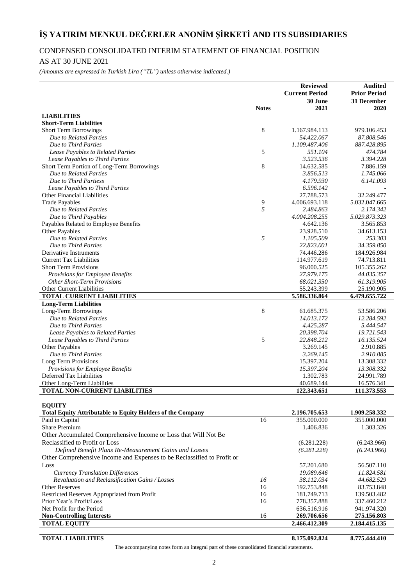# CONDENSED CONSOLIDATED INTERIM STATEMENT OF FINANCIAL POSITION

# AS AT 30 JUNE 2021

*(Amounts are expressed in Turkish Lira ("TL") unless otherwise indicated.)*

|                                                                         |              | <b>Reviewed</b>         | <b>Audited</b>            |
|-------------------------------------------------------------------------|--------------|-------------------------|---------------------------|
|                                                                         |              | <b>Current Period</b>   | <b>Prior Period</b>       |
|                                                                         |              | 30 June                 | 31 December               |
|                                                                         | <b>Notes</b> | 2021                    | 2020                      |
| <b>LIABILITIES</b>                                                      |              |                         |                           |
| <b>Short-Term Liabilities</b>                                           |              |                         |                           |
| <b>Short Term Borrowings</b>                                            | 8            | 1.167.984.113           | 979.106.453               |
| Due to Related Parties                                                  |              | 54.422.067              | 87.808.546                |
| Due to Third Parties                                                    |              | 1.109.487.406           | 887.428.895               |
| Lease Payables to Related Parties                                       | 5            | 551.104                 | 474.784                   |
| Lease Payables to Third Parties                                         |              | 3.523.536               | 3.394.228                 |
| Short Term Portion of Long-Term Borrowings                              | 8            | 14.632.585              | 7.886.159                 |
| Due to Related Parties                                                  |              | 3.856.513               | 1.745.066                 |
| Due to Third Partiess                                                   |              | 4.179.930               | 6.141.093                 |
| Lease Payables to Third Parties                                         |              | 6.596.142               |                           |
| Other Financial Liabilities                                             |              | 27.788.573              | 32.249.477                |
| <b>Trade Payables</b>                                                   | 9            | 4.006.693.118           | 5.032.047.665             |
| Due to Related Parties                                                  | 5            | 2.484.863               | 2.174.342                 |
| Due to Third Payables                                                   |              | 4.004.208.255           | 5.029.873.323             |
| Payables Related to Employee Benefits                                   |              | 4.642.136               | 3.565.853                 |
| Other Payables                                                          |              | 23.928.510<br>1.105.509 | 34.613.153                |
| Due to Related Parties                                                  | 5            | 22.823.001              | 253.303<br>34.359.850     |
| Due to Third Parties<br>Derivative Instruments                          |              | 74.446.286              |                           |
|                                                                         |              | 114.977.619             | 184.926.984<br>74.713.811 |
| <b>Current Tax Liabilities</b><br><b>Short Term Provisions</b>          |              | 96.000.525              | 105.355.262               |
|                                                                         |              | 27.979.175              | 44.035.357                |
| Provisions for Employee Benefits<br><b>Other Short-Term Provisions</b>  |              | 68.021.350              | 61.319.905                |
| Other Current Liabilities                                               |              | 55.243.399              | 25.190.905                |
| <b>TOTAL CURRENT LIABILITIES</b>                                        |              | 5.586.336.864           | 6.479.655.722             |
| <b>Long-Term Liabilities</b>                                            |              |                         |                           |
| Long-Term Borrowings                                                    | 8            | 61.685.375              | 53.586.206                |
| Due to Related Parties                                                  |              | 14.013.172              | 12.284.592                |
| Due to Third Parties                                                    |              | 4.425.287               | 5.444.547                 |
| Lease Payables to Related Parties                                       |              | 20.398.704              | 19.721.543                |
| Lease Payables to Third Parties                                         | 5            | 22.848.212              | 16.135.524                |
| Other Payables                                                          |              | 3.269.145               | 2.910.885                 |
| Due to Third Parties                                                    |              | 3.269.145               | 2.910.885                 |
| Long Term Provisions                                                    |              | 15.397.204              | 13.308.332                |
| Provisions for Employee Benefits                                        |              | 15.397.204              | 13.308.332                |
| Deferred Tax Liabilities                                                |              | 1.302.783               | 24.991.789                |
| Other Long-Term Liabilities                                             |              | 40.689.144              | 16.576.341                |
| TOTAL NON-CURRENT LIABILITIES                                           |              | 122.343.651             | 111.373.553               |
|                                                                         |              |                         |                           |
| <b>EQUITY</b>                                                           |              |                         |                           |
| <b>Total Equity Attributable to Equity Holders of the Company</b>       |              | 2.196.705.653           | 1.909.258.332             |
| Paid in Capital                                                         | 16           | 355.000.000             | 355.000.000               |
| <b>Share Premium</b>                                                    |              | 1.406.836               | 1.303.326                 |
| Other Accumulated Comprehensive Income or Loss that Will Not Be         |              |                         |                           |
| Reclassified to Profit or Loss                                          |              | (6.281.228)             | (6.243.966)               |
| Defined Benefit Plans Re-Measurement Gains and Losses                   |              | (6.281.228)             | (6.243.966)               |
| Other Comprehensive Income and Expenses to be Reclassified to Profit or |              |                         |                           |
| Loss                                                                    |              | 57.201.680              | 56.507.110                |
| <b>Currency Translation Differences</b>                                 |              | 19.089.646              | 11.824.581                |
| Revaluation and Reclassification Gains / Losses                         | 16           | 38.112.034              | 44.682.529                |
| <b>Other Reserves</b>                                                   | 16           | 192.753.848             | 83.753.848                |
| Restricted Reserves Appropriated from Profit                            | 16           | 181.749.713             | 139.503.482               |
| Prior Year's Profit/Loss                                                | 16           | 778.357.888             | 337.460.212               |
| Net Profit for the Period                                               |              | 636.516.916             | 941.974.320               |
| <b>Non-Controlling Interests</b>                                        | 16           | 269.706.656             | 275.156.803               |
| <b>TOTAL EQUITY</b>                                                     |              | 2.466.412.309           | 2.184.415.135             |
|                                                                         |              |                         |                           |
| <b>TOTAL LIABILITIES</b>                                                |              | 8.175.092.824           | 8.775.444.410             |

The accompanying notes form an integral part of these consolidated financial statements.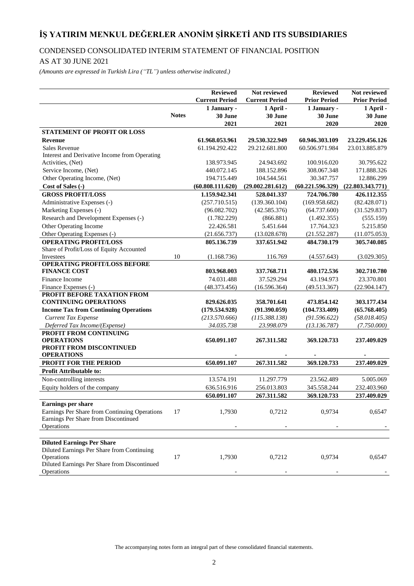# CONDENSED CONSOLIDATED INTERIM STATEMENT OF FINANCIAL POSITION

# AS AT 30 JUNE 2021

*(Amounts are expressed in Turkish Lira ("TL") unless otherwise indicated.)*

|                                                                                       |              | <b>Reviewed</b>       | Not reviewed          | <b>Reviewed</b>     | Not reviewed        |
|---------------------------------------------------------------------------------------|--------------|-----------------------|-----------------------|---------------------|---------------------|
|                                                                                       |              | <b>Current Period</b> | <b>Current Period</b> | <b>Prior Period</b> | <b>Prior Period</b> |
|                                                                                       |              | 1 January -           | 1 April -             | 1 January -         | 1 April -           |
|                                                                                       | <b>Notes</b> | 30 June               | 30 June               | 30 June             | 30 June             |
|                                                                                       |              | 2021                  | 2021                  | 2020                | 2020                |
| <b>STATEMENT OF PROFIT OR LOSS</b>                                                    |              |                       |                       |                     |                     |
| <b>Revenue</b>                                                                        |              | 61.968.053.961        | 29.530.322.949        | 60.946.303.109      | 23.229.456.126      |
| <b>Sales Revenue</b>                                                                  |              | 61.194.292.422        | 29.212.681.800        | 60.506.971.984      | 23.013.885.879      |
| Interest and Derivative Income from Operating                                         |              |                       |                       |                     |                     |
| Activities, (Net)                                                                     |              | 138.973.945           | 24.943.692            | 100.916.020         | 30.795.622          |
| Service Income, (Net)                                                                 |              | 440.072.145           | 188.152.896           | 308.067.348         | 171.888.326         |
| Other Operating Income, (Net)                                                         |              | 194.715.449           | 104.544.561           | 30.347.757          | 12.886.299          |
| Cost of Sales (-)                                                                     |              | (60.808.111.620)      | (29.002.281.612)      | (60.221.596.329)    | (22.803.343.771)    |
| <b>GROSS PROFIT/LOSS</b>                                                              |              | 1.159.942.341         | 528.041.337           | 724.706.780         | 426.112.355         |
| Administrative Expenses (-)                                                           |              | (257.710.515)         | (139.360.104)         | (169.958.682)       | (82.428.071)        |
| Marketing Expenses (-)                                                                |              | (96.082.702)          | (42.585.376)          | (64.737.600)        | (31.529.837)        |
| Research and Development Expenses (-)                                                 |              | (1.782.229)           | (866.881)             | (1.492.355)         | (555.159)           |
| Other Operating Income                                                                |              | 22.426.581            | 5.451.644             | 17.764.323          | 5.215.850           |
| Other Operating Expenses (-)                                                          |              | (21.656.737)          | (13.028.678)          | (21.552.287)        | (11.075.053)        |
| <b>OPERATING PROFIT/LOSS</b>                                                          |              | 805.136.739           | 337.651.942           | 484.730.179         | 305.740.085         |
| Share of Profit/Loss of Equity Accounted                                              |              |                       |                       |                     |                     |
| Investees                                                                             | 10           | (1.168.736)           | 116.769               | (4.557.643)         | (3.029.305)         |
| <b>OPERATING PROFIT/LOSS BEFORE</b>                                                   |              |                       |                       |                     |                     |
| <b>FINANCE COST</b>                                                                   |              | 803.968.003           | 337.768.711           | 480.172.536         | 302.710.780         |
| Finance Income                                                                        |              | 74.031.488            | 37.529.294            | 43.194.973          | 23.370.801          |
| Finance Expenses (-)                                                                  |              | (48.373.456)          | (16.596.364)          | (49.513.367)        | (22.904.147)        |
| PROFIT BEFORE TAXATION FROM                                                           |              |                       |                       |                     |                     |
| <b>CONTINUING OPERATIONS</b>                                                          |              | 829.626.035           | 358.701.641           | 473.854.142         | 303.177.434         |
| <b>Income Tax from Continuing Operations</b>                                          |              | (179.534.928)         | (91.390.059)          | (104.733.409)       | (65.768.405)        |
| <b>Current Tax Expense</b>                                                            |              | (213.570.666)         | (115.388.138)         | (91.596.622)        | (58.018.405)        |
| Deferred Tax Income/(Expense)                                                         |              | 34.035.738            | 23.998.079            | (13.136.787)        | (7.750.000)         |
| PROFIT FROM CONTINUING<br><b>OPERATIONS</b>                                           |              | 650.091.107           | 267.311.582           | 369.120.733         | 237.409.029         |
| PROFIT FROM DISCONTINUED                                                              |              |                       |                       |                     |                     |
| <b>OPERATIONS</b>                                                                     |              |                       |                       |                     |                     |
| PROFIT FOR THE PERIOD                                                                 |              | 650.091.107           | 267.311.582           | 369.120.733         | 237.409.029         |
| Profit Attributable to:                                                               |              |                       |                       |                     |                     |
| Non-controlling interests                                                             |              | 13.574.191            | 11.297.779            | 23.562.489          | 5.005.069           |
| Equity holders of the company                                                         |              | 636.516.916           | 256.013.803           | 345.558.244         | 232.403.960         |
|                                                                                       |              | 650.091.107           | 267.311.582           | 369.120.733         | 237.409.029         |
| Earnings per share                                                                    |              |                       |                       |                     |                     |
|                                                                                       | 17           |                       |                       |                     |                     |
| Earnings Per Share from Continuing Operations<br>Earnings Per Share from Discontinued |              | 1,7930                | 0,7212                | 0,9734              | 0,6547              |
| Operations                                                                            |              |                       |                       |                     |                     |
|                                                                                       |              |                       |                       |                     |                     |
| <b>Diluted Earnings Per Share</b>                                                     |              |                       |                       |                     |                     |
| Diluted Earnings Per Share from Continuing                                            |              |                       |                       |                     |                     |
| Operations                                                                            | 17           | 1,7930                | 0,7212                | 0,9734              | 0,6547              |
| Diluted Earnings Per Share from Discontinued                                          |              |                       |                       |                     |                     |
| Operations                                                                            |              |                       |                       |                     |                     |

The accompanying notes form an integral part of these consolidated financial statements.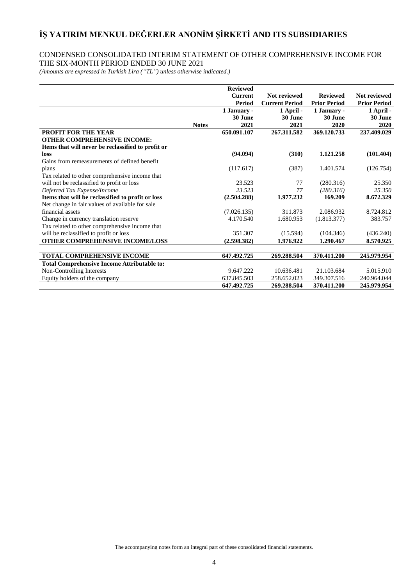# CONDENSED CONSOLIDATED INTERIM STATEMENT OF OTHER COMPREHENSIVE INCOME FOR THE SIX-MONTH PERIOD ENDED 30 JUNE 2021

*(Amounts are expressed in Turkish Lira ("TL") unless otherwise indicated.)*

|                                                    |              | <b>Reviewed</b> |                       |                     |                     |
|----------------------------------------------------|--------------|-----------------|-----------------------|---------------------|---------------------|
|                                                    |              | <b>Current</b>  | Not reviewed          | <b>Reviewed</b>     | Not reviewed        |
|                                                    |              | Period          | <b>Current Period</b> | <b>Prior Period</b> | <b>Prior Period</b> |
|                                                    |              | 1 January -     | 1 April -             | 1 January -         | 1 April -           |
|                                                    |              | 30 June         | 30 June               | 30 June             | 30 June             |
|                                                    | <b>Notes</b> | 2021            | 2021                  | 2020                | 2020                |
| <b>PROFIT FOR THE YEAR</b>                         |              | 650.091.107     | 267.311.582           | 369.120.733         | 237.409.029         |
| <b>OTHER COMPREHENSIVE INCOME:</b>                 |              |                 |                       |                     |                     |
| Items that will never be reclassified to profit or |              |                 |                       |                     |                     |
| loss                                               |              | (94.094)        | (310)                 | 1.121.258           | (101.404)           |
| Gains from remeasurements of defined benefit       |              |                 |                       |                     |                     |
| plans                                              |              | (117.617)       | (387)                 | 1.401.574           | (126.754)           |
| Tax related to other comprehensive income that     |              |                 |                       |                     |                     |
| will not be reclassified to profit or loss         |              | 23.523          | 77                    | (280.316)           | 25.350              |
| Deferred Tax Expense/Income                        |              | 23.523          | 77                    | (280.316)           | 25.350              |
| Items that will be reclassified to profit or loss  |              | (2.504.288)     | 1.977.232             | 169.209             | 8.672.329           |
| Net change in fair values of available for sale    |              |                 |                       |                     |                     |
| financial assets                                   |              | (7.026.135)     | 311.873               | 2.086.932           | 8.724.812           |
| Change in currency translation reserve             |              | 4.170.540       | 1.680.953             | (1.813.377)         | 383.757             |
| Tax related to other comprehensive income that     |              |                 |                       |                     |                     |
| will be reclassified to profit or loss             |              | 351.307         | (15.594)              | (104.346)           | (436.240)           |
| <b>OTHER COMPREHENSIVE INCOME/LOSS</b>             |              | (2.598.382)     | 1.976.922             | 1.290.467           | 8.570.925           |
|                                                    |              |                 |                       |                     |                     |
| <b>TOTAL COMPREHENSIVE INCOME</b>                  |              | 647.492.725     | 269.288.504           | 370.411.200         | 245.979.954         |
| <b>Total Comprehensive Income Attributable to:</b> |              |                 |                       |                     |                     |
| Non-Controlling Interests                          |              | 9.647.222       | 10.636.481            | 21.103.684          | 5.015.910           |
| Equity holders of the company                      |              | 637.845.503     | 258.652.023           | 349.307.516         | 240.964.044         |
|                                                    |              | 647.492.725     | 269.288.504           | 370.411.200         | 245.979.954         |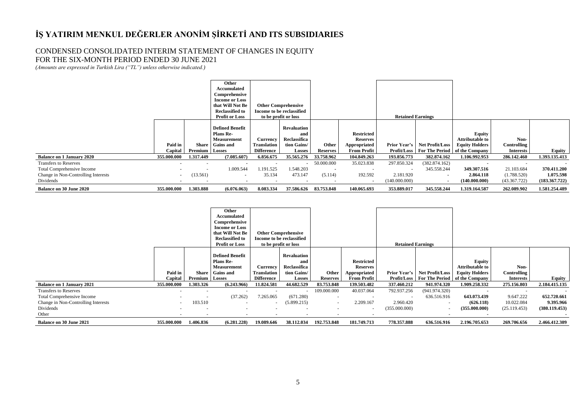### CONDENSED CONSOLIDATED INTERIM STATEMENT OF CHANGES IN EQUITY FOR THE SIX-MONTH PERIOD ENDED 30 JUNE 2021

*(Amounts are expressed in Turkish Lira ("TL") unless otherwise indicated.)*

|                                                                                                                       |                          |                                      | Other<br>Accumulated<br>Comprehensive<br><b>Income or Loss</b><br>that Will Not Be<br><b>Reclassified to</b><br><b>Profit or Loss</b> |                                                     | <b>Other Comprehensive</b><br>Income to be reclassified<br>to be profit or loss |                          |                                                                            | <b>Retained Earnings</b>                  |                                                          |                                                                                                               |                                           |                                                  |
|-----------------------------------------------------------------------------------------------------------------------|--------------------------|--------------------------------------|---------------------------------------------------------------------------------------------------------------------------------------|-----------------------------------------------------|---------------------------------------------------------------------------------|--------------------------|----------------------------------------------------------------------------|-------------------------------------------|----------------------------------------------------------|---------------------------------------------------------------------------------------------------------------|-------------------------------------------|--------------------------------------------------|
|                                                                                                                       | Paid in<br>Capital       | Premium                              | <b>Defined Benefit</b><br><b>Plans Re-</b><br><b>Measurement</b><br>Share Gains and<br>Losses                                         | Currency<br><b>Translation</b><br><b>Difference</b> | <b>Revaluation</b><br>and<br>Reclassifica<br>tion Gains/<br><b>Losses</b>       | Other<br><b>Reserves</b> | <b>Restricted</b><br><b>Reserves</b><br>Appropriated<br><b>From Profit</b> | <b>Prior Year's</b>                       | Net Profit/Loss                                          | Equity<br><b>Attributable to</b><br><b>Equity Holders</b><br><b>Profit/Loss</b> For The Period of the Company | Non-<br>Controlling<br><b>Interests</b>   | Equity                                           |
| <b>Balance on 1 January 2020</b>                                                                                      | 355.000.000              | 1.317.449                            | (7.085.607)                                                                                                                           | 6.856.675                                           | 35.565.276                                                                      | 33.758.962               | 104.849.263                                                                | 193.856.773                               | 382.874.162                                              | 1.106.992.953                                                                                                 | 286.142.460                               | 1.393.135.413                                    |
| <b>Transfers to Reserves</b><br><b>Total Comprehensive Income</b><br>Change in Non-Controlling Interests<br>Dividends | $\blacksquare$<br>$\sim$ | $\overline{\phantom{a}}$<br>(13.561) | 1.009.544<br>$\overline{\phantom{a}}$                                                                                                 | .191.525<br>35.134                                  | 1.548.203<br>473.147                                                            | 50.000.000<br>(5.114)    | 35.023.838<br>192.592                                                      | 297.850.324<br>2.181.920<br>(140.000.000) | (382.874.162)<br>345.558.244<br>$\overline{\phantom{0}}$ | $\overline{\phantom{a}}$<br>349.307.516<br>2.864.118<br>(140.000.000)                                         | 21.103.684<br>(1.788.520)<br>(43.367.722) | . .<br>370.411.200<br>1.075.598<br>(183.367.722) |
| <b>Balance on 30 June 2020</b>                                                                                        | 355,000,000              | 1.303.888                            | (6.076.063)                                                                                                                           | 8.083.334                                           | 37.586.626                                                                      | 83.753.848               | 140.065.693                                                                | 353,889,017                               | 345.558.244                                              | 1.319.164.587                                                                                                 | 262.089.902                               | 1.581.254.489                                    |

|                                     |                    |                  | Other<br>Accumulated<br>Comprehensive<br><b>Income or Loss</b><br>that Will Not Be<br><b>Reclassified to</b><br><b>Profit or Loss</b> |                                                     | <b>Other Comprehensive</b><br>Income to be reclassified<br>to be profit or loss |                          |                                                                            | <b>Retained Earnings</b>           |                                          |                                                                      |                                         |               |
|-------------------------------------|--------------------|------------------|---------------------------------------------------------------------------------------------------------------------------------------|-----------------------------------------------------|---------------------------------------------------------------------------------|--------------------------|----------------------------------------------------------------------------|------------------------------------|------------------------------------------|----------------------------------------------------------------------|-----------------------------------------|---------------|
|                                     | Paid in<br>Capital | Share<br>Premium | <b>Defined Benefit</b><br><b>Plans Re-</b><br><b>Measurement</b><br><b>Gains and</b><br><b>Losses</b>                                 | Currency<br><b>Translation</b><br><b>Difference</b> | <b>Revaluation</b><br>and<br>Reclassifica<br>tion Gains/<br><b>Losses</b>       | Other<br><b>Reserves</b> | <b>Restricted</b><br><b>Reserves</b><br>Appropriated<br><b>From Profit</b> | <b>Prior Year's</b><br>Profit/Loss | Net Profit/Loss<br><b>For The Period</b> | Equity<br>Attributable to<br><b>Equity Holders</b><br>of the Company | Non-<br>Controlling<br><b>Interests</b> | Equity        |
| <b>Balance on 1 January 2021</b>    | 355.000.000        | 1.303.326        | (6.243.966)                                                                                                                           | 11.824.581                                          | 44.682.529                                                                      | 83.753.848               | 139.503.482                                                                | 337.460.212                        | 941.974.320                              | 1.909.258.332                                                        | 275.156.803                             | 2.184.415.135 |
| <b>Transfers to Reserves</b>        |                    |                  |                                                                                                                                       |                                                     |                                                                                 | 109.000.000              | 40.037.064                                                                 | 792.937.256                        | (941.974.320)                            |                                                                      |                                         |               |
| <b>Total Comprehensive Income</b>   |                    |                  | (37.262)                                                                                                                              | 7.265.065                                           | (671.280)                                                                       | $\sim$                   | $\overline{\phantom{a}}$                                                   |                                    | 636.516.916                              | 643.073.439                                                          | 9.647.222                               | 652.720.661   |
| Change in Non-Controlling Interests |                    | 103.510          |                                                                                                                                       |                                                     | (5.899.215)                                                                     | $\sim$                   | 2.209.167                                                                  | 2.960.420                          |                                          | (626.118)                                                            | 10.022.084                              | 9.395.966     |
| Dividends                           |                    |                  |                                                                                                                                       |                                                     |                                                                                 |                          | $\sim$                                                                     | (355.000.000)                      |                                          | (355.000.000)                                                        | (25.119.453)                            | (380.119.453) |
| Other                               |                    |                  |                                                                                                                                       |                                                     |                                                                                 |                          |                                                                            |                                    |                                          |                                                                      |                                         |               |
| <b>Balance on 30 June 2021</b>      | 355,000,000        | 1.406.836        | (6.281.228)                                                                                                                           | 19.089.646                                          | 38.112.034                                                                      | 192.753.848              | 181.749.713                                                                | 778.357.888                        | 636.516.916                              | 2.196.705.653                                                        | 269.706.656                             | 2.466.412.309 |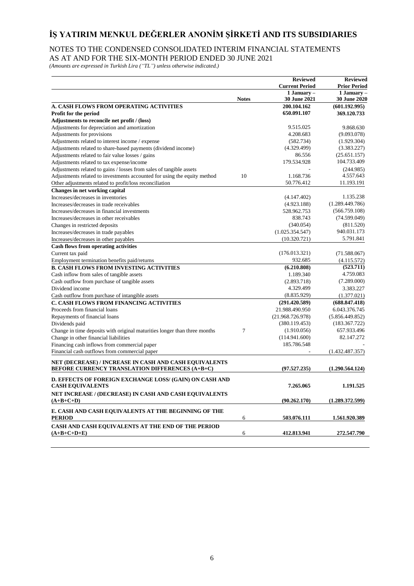### NOTES TO THE CONDENSED CONSOLIDATED INTERIM FINANCIAL STATEMENTS AS AT AND FOR THE SIX-MONTH PERIOD ENDED 30 JUNE 2021

*(Amounts are expressed in Turkish Lira ("TL") unless otherwise indicated.)*

|                                                                                                                  |              | <b>Reviewed</b><br><b>Current Period</b> | <b>Reviewed</b><br><b>Prior Period</b> |
|------------------------------------------------------------------------------------------------------------------|--------------|------------------------------------------|----------------------------------------|
|                                                                                                                  | <b>Notes</b> | 1 January -<br><b>30 June 2021</b>       | 1 January $-$<br>30 June 2020          |
| A. CASH FLOWS FROM OPERATING ACTIVITIES                                                                          |              | 200.104.162                              | (601.192.995)                          |
| Profit for the period                                                                                            |              | 650.091.107                              | 369.120.733                            |
| Adjustments to reconcile net profit / (loss)                                                                     |              |                                          |                                        |
| Adjustments for depreciation and amortization                                                                    |              | 9.515.025                                | 9.868.630                              |
| Adjustments for provisions                                                                                       |              | 4.208.683                                | (9.093.078)                            |
| Adjustments related to interest income / expense                                                                 |              | (582.734)                                | (1.929.304)                            |
| Adjustments related to share-based payments (dividend income)                                                    |              | (4.329.499)                              | (3.383.227)                            |
| Adjustments related to fair value losses / gains                                                                 |              | 86.556                                   | (25.651.157)                           |
| Adjustments related to tax expense/income                                                                        |              | 179.534.928                              | 104.733.409                            |
| Adjustments related to gains / losses from sales of tangible assets                                              |              |                                          | (244.985)                              |
| Adjustments related to investments accounted for using the equity method                                         | 10           | 1.168.736                                | 4.557.643                              |
| Other adjustments related to profit/loss reconciliation                                                          |              | 50.776.412                               | 11.193.191                             |
| Changes in net working capital                                                                                   |              |                                          |                                        |
| Increases/decreases in inventories                                                                               |              | (4.147.402)                              | 1.135.238                              |
| Increases/decreases in trade receivables                                                                         |              | (4.923.188)                              | (1.289.449.786)                        |
| Increases/decreases in financial investments                                                                     |              | 528.962.753                              | (566.759.108)                          |
| Increases/decreases in other receivables                                                                         |              | 838.743                                  | (74.599.049)                           |
| Changes in restricted deposits                                                                                   |              | (340.054)                                | (811.520)                              |
| Increases/decreases in trade payables                                                                            |              | (1.025.354.547)                          | 940.031.173                            |
| Increases/decreases in other payables                                                                            |              | (10.320.721)                             | 5.791.841                              |
| <b>Cash flows from operating activities</b>                                                                      |              |                                          |                                        |
| Current tax paid                                                                                                 |              | (176.013.321)                            | (71.588.067)                           |
| Employment termination benefits paid/returns                                                                     |              | 932.685                                  | (4.115.572)                            |
| <b>B. CASH FLOWS FROM INVESTING ACTIVITIES</b>                                                                   |              | (6.210.808)                              | (523.711)                              |
| Cash inflow from sales of tangible assets                                                                        |              | 1.189.340                                | 4.759.083                              |
| Cash outflow from purchase of tangible assets                                                                    |              | (2.893.718)                              | (7.289.000)                            |
| Dividend income                                                                                                  |              | 4.329.499                                | 3.383.227                              |
| Cash outflow from purchase of intangible assets                                                                  |              | (8.835.929)                              | (1.377.021)                            |
| <b>C. CASH FLOWS FROM FINANCING ACTIVITIES</b>                                                                   |              |                                          | (688.847.418)                          |
|                                                                                                                  |              | (291.420.589)<br>21.988.490.950          |                                        |
| Proceeds from financial loans                                                                                    |              |                                          | 6.043.376.745                          |
| Repayments of financial loans                                                                                    |              | (21.968.726.978)                         | (5.856.449.852)                        |
| Dividends paid                                                                                                   |              | (380.119.453)                            | (183.367.722)                          |
| Change in time deposits with original maturities longer than three months                                        | 7            | (1.910.056)                              | 657.933.496                            |
| Change in other financial liabilities                                                                            |              | (114.941.600)<br>185.786.548             | 82.147.272                             |
| Financing cash inflows from commercial paper                                                                     |              |                                          |                                        |
| Financial cash outflows from commercial paper                                                                    |              |                                          | (1.432.487.357)                        |
| NET (DECREASE) / INCREASE IN CASH AND CASH EQUIVALENTS<br><b>BEFORE CURRENCY TRANSLATION DIFFERENCES (A+B+C)</b> |              | (97.527.235)                             | (1.290.564.124)                        |
|                                                                                                                  |              |                                          |                                        |
| D. EFFECTS OF FOREIGN EXCHANGE LOSS/ (GAIN) ON CASH AND<br><b>CASH EQUIVALENTS</b>                               |              | 7.265.065                                | 1.191.525                              |
| NET INCREASE / (DECREASE) IN CASH AND CASH EQUIVALENTS<br>$(A+B+C+D)$                                            |              | (90.262.170)                             | (1.289.372.599)                        |
| E. CASH AND CASH EQUIVALENTS AT THE BEGINNING OF THE                                                             |              |                                          |                                        |
| <b>PERIOD</b>                                                                                                    | 6            | 503.076.111                              | 1.561.920.389                          |
| CASH AND CASH EQUIVALENTS AT THE END OF THE PERIOD<br>$(A+B+C+D+E)$                                              | 6            | 412.813.941                              | 272.547.790                            |
|                                                                                                                  |              |                                          |                                        |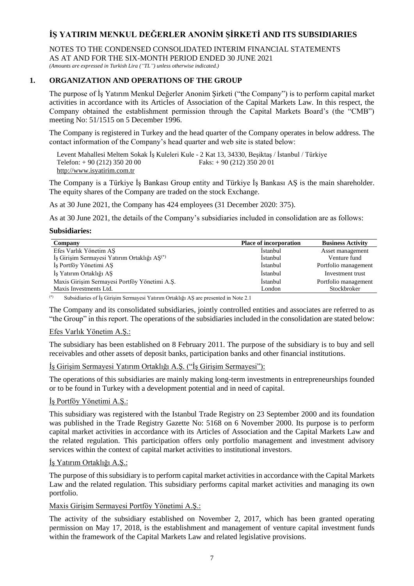NOTES TO THE CONDENSED CONSOLIDATED INTERIM FINANCIAL STATEMENTS AS AT AND FOR THE SIX-MONTH PERIOD ENDED 30 JUNE 2021

*(Amounts are expressed in Turkish Lira ("TL") unless otherwise indicated.)*

# **1. ORGANIZATION AND OPERATIONS OF THE GROUP**

The purpose of İş Yatırım Menkul Değerler Anonim Şirketi ("the Company") is to perform capital market activities in accordance with its Articles of Association of the Capital Markets Law. In this respect, the Company obtained the establishment permission through the Capital Markets Board's (the "CMB") meeting No: 51/1515 on 5 December 1996.

The Company is registered in Turkey and the head quarter of the Company operates in below address. The contact information of the Company's head quarter and web site is stated below:

Levent Mahallesi Meltem Sokak İş Kuleleri Kule - 2 Kat 13, 34330, Beşiktaş / İstanbul / Türkiye Telefon: + 90 (212) 350 20 00 Faks: + 90 (212) 350 20 01 [http://www.isyatirim.com.tr](http://www.isyatirim.com.tr/)

The Company is a Türkiye İş Bankası Group entity and Türkiye İş Bankası AŞ is the main shareholder. The equity shares of the Company are traded on the stock Exchange.

As at 30 June 2021, the Company has 424 employees (31 December 2020: 375).

As at 30 June 2021, the details of the Company's subsidiaries included in consolidation are as follows:

### **Subsidiaries:**

| Company                                                  | <b>Place of incorporation</b> | <b>Business Activity</b> |
|----------------------------------------------------------|-------------------------------|--------------------------|
| Efes Varlık Yönetim AŞ                                   | Istanbul                      | Asset management         |
| İş Girişim Sermayesi Yatırım Ortaklığı AŞ <sup>(*)</sup> | <i>Istanbul</i>               | Venture fund             |
| Iş Portföy Yönetimi AŞ                                   | <i>Istanbul</i>               | Portfolio management     |
| İs Yatırım Ortaklığı AS                                  | <i>Istanbul</i>               | Investment trust         |
| Maxis Girişim Sermayesi Portföy Yönetimi A.Ş.            | <i>Istanbul</i>               | Portfolio management     |
| Maxis Investments Ltd.                                   | London                        | Stockbroker              |

(\*) Subsidiaries of İş Girişim Sermayesi Yatırım Ortaklığı AŞ are presented in Note 2.1

The Company and its consolidated subsidiaries, jointly controlled entities and associates are referred to as "the Group" in this report. The operations of the subsidiaries included in the consolidation are stated below:

### Efes Varlık Yönetim A.Ş.:

The subsidiary has been established on 8 February 2011. The purpose of the subsidiary is to buy and sell receivables and other assets of deposit banks, participation banks and other financial institutions.

# İş Girişim Sermayesi Yatırım Ortaklığı A.Ş. ("İş Girişim Sermayesi"):

The operations of this subsidiaries are mainly making long-term investments in entrepreneurships founded or to be found in Turkey with a development potential and in need of capital.

### İş Portföy Yönetimi A.Ş.:

This subsidiary was registered with the Istanbul Trade Registry on 23 September 2000 and its foundation was published in the Trade Registry Gazette No: 5168 on 6 November 2000. Its purpose is to perform capital market activities in accordance with its Articles of Association and the Capital Markets Law and the related regulation. This participation offers only portfolio management and investment advisory services within the context of capital market activities to institutional investors.

### İş Yatırım Ortaklığı A.Ş.:

The purpose of this subsidiary is to perform capital market activities in accordance with the Capital Markets Law and the related regulation. This subsidiary performs capital market activities and managing its own portfolio.

### Maxis Girişim Sermayesi Portföy Yönetimi A.Ş.:

The activity of the subsidiary established on November 2, 2017, which has been granted operating permission on May 17, 2018, is the establishment and management of venture capital investment funds within the framework of the Capital Markets Law and related legislative provisions.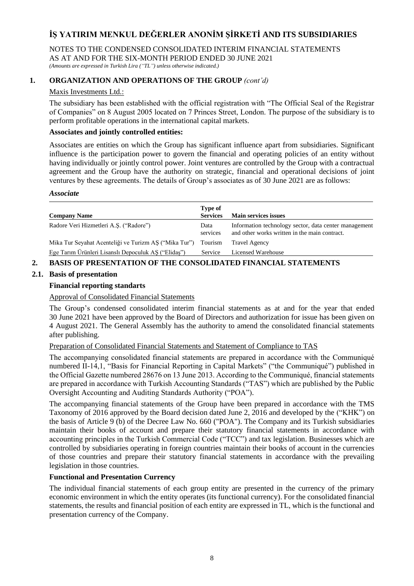NOTES TO THE CONDENSED CONSOLIDATED INTERIM FINANCIAL STATEMENTS AS AT AND FOR THE SIX-MONTH PERIOD ENDED 30 JUNE 2021 *(Amounts are expressed in Turkish Lira ("TL") unless otherwise indicated.)*

# **1. ORGANIZATION AND OPERATIONS OF THE GROUP** *(cont'd)*

### Maxis Investments Ltd.:

The subsidiary has been established with the official registration with "The Official Seal of the Registrar of Companies" on 8 August 2005 located on 7 Princes Street, London. The purpose of the subsidiary is to perform profitable operations in the international capital markets.

### **Associates and jointly controlled entities:**

Associates are entities on which the Group has significant influence apart from subsidiaries. Significant influence is the participation power to govern the financial and operating policies of an entity without having individually or jointly control power. Joint ventures are controlled by the Group with a contractual agreement and the Group have the authority on strategic, financial and operational decisions of joint ventures by these agreements. The details of Group's associates as of 30 June 2021 are as follows:

#### *Associate*

| <b>Company Name</b>                                   | Type of<br><b>Services</b> | <b>Main services issues</b>                                                                            |
|-------------------------------------------------------|----------------------------|--------------------------------------------------------------------------------------------------------|
| Radore Veri Hizmetleri A.Ş. ("Radore")                | Data<br>services           | Information technology sector, data center management<br>and other works written in the main contract. |
| Mika Tur Seyahat Acenteliği ve Turizm AŞ ("Mika Tur") | Tourism                    | <b>Travel Agency</b>                                                                                   |
| Ege Tarım Ürünleri Lisanslı Depoculuk AŞ ("Elidaş")   | Service                    | Licensed Warehouse                                                                                     |

## **2. BASIS OF PRESENTATION OF THE CONSOLIDATED FINANCIAL STATEMENTS**

### **2.1. Basis of presentation**

### **Financial reporting standarts**

Approval of Consolidated Financial Statements

The Group's condensed consolidated interim financial statements as at and for the year that ended 30 June 2021 have been approved by the Board of Directors and authorization for issue has been given on 4 August 2021. The General Assembly has the authority to amend the consolidated financial statements after publishing.

## Preparation of Consolidated Financial Statements and Statement of Compliance to TAS

The accompanying consolidated financial statements are prepared in accordance with the Communiqué numbered II-14,1, "Basis for Financial Reporting in Capital Markets" ("the Communiqué") published in the Official Gazette numbered 28676 on 13 June 2013. According to the Communiqué, financial statements are prepared in accordance with Turkish Accounting Standards ("TAS") which are published by the Public Oversight Accounting and Auditing Standards Authority ("POA").

The accompanying financial statements of the Group have been prepared in accordance with the TMS Taxonomy of 2016 approved by the Board decision dated June 2, 2016 and developed by the ("KHK") on the basis of Article 9 (b) of the Decree Law No. 660 ("POA"). The Company and its Turkish subsidiaries maintain their books of account and prepare their statutory financial statements in accordance with accounting principles in the Turkish Commercial Code ("TCC") and tax legislation. Businesses which are controlled by subsidiaries operating in foreign countries maintain their books of account in the currencies of those countries and prepare their statutory financial statements in accordance with the prevailing legislation in those countries.

## **Functional and Presentation Currency**

The individual financial statements of each group entity are presented in the currency of the primary economic environment in which the entity operates (its functional currency). For the consolidated financial statements, the results and financial position of each entity are expressed in TL, which is the functional and presentation currency of the Company.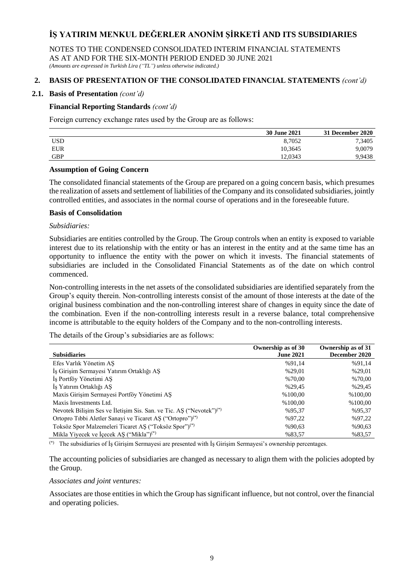NOTES TO THE CONDENSED CONSOLIDATED INTERIM FINANCIAL STATEMENTS AS AT AND FOR THE SIX-MONTH PERIOD ENDED 30 JUNE 2021

*(Amounts are expressed in Turkish Lira ("TL") unless otherwise indicated.)*

# **2. BASIS OF PRESENTATION OF THE CONSOLIDATED FINANCIAL STATEMENTS** *(cont'd)*

### **2.1. Basis of Presentation** *(cont'd)*

## **Financial Reporting Standards** *(cont'd)*

Foreign currency exchange rates used by the Group are as follows:

|            | <b>30 June 2021</b> | <b>31 December 2020</b> |
|------------|---------------------|-------------------------|
| <b>USD</b> | 8,7052              | 7,3405                  |
| EUR        | 10.3645             | 9,0079                  |
| <b>GBP</b> | 12.0343             | 9,9438                  |

### **Assumption of Going Concern**

The consolidated financial statements of the Group are prepared on a going concern basis, which presumes the realization of assets and settlement of liabilities of the Company and its consolidated subsidiaries, jointly controlled entities, and associates in the normal course of operations and in the foreseeable future.

### **Basis of Consolidation**

# *Subsidiaries:*

Subsidiaries are entities controlled by the Group. The Group controls when an entity is exposed to variable interest due to its relationship with the entity or has an interest in the entity and at the same time has an opportunity to influence the entity with the power on which it invests. The financial statements of subsidiaries are included in the Consolidated Financial Statements as of the date on which control commenced.

Non-controlling interests in the net assets of the consolidated subsidiaries are identified separately from the Group's equity therein. Non-controlling interests consist of the amount of those interests at the date of the original business combination and the non-controlling interest share of changes in equity since the date of the combination. Even if the non-controlling interests result in a reverse balance, total comprehensive income is attributable to the equity holders of the Company and to the non-controlling interests.

The details of the Group's subsidiaries are as follows:

|                                                                                 | Ownership as of 30 | Ownership as of 31 |
|---------------------------------------------------------------------------------|--------------------|--------------------|
| <b>Subsidiaries</b>                                                             | <b>June 2021</b>   | December 2020      |
| Efes Varlık Yönetim AS                                                          | %91,14             | %91,14             |
| İş Girişim Sermayesi Yatırım Ortaklığı AŞ                                       | %29,01             | %29,01             |
| Is Portföy Yönetimi AS                                                          | %70,00             | %70,00             |
| İs Yatırım Ortaklığı AS                                                         | %29,45             | %29,45             |
| Maxis Girisim Sermayesi Portföy Yönetimi AS                                     | %100,00            | %100,00            |
| Maxis Investments Ltd.                                                          | %100.00            | %100,00            |
| Nevotek Bilişim Ses ve İletişim Sis. San. ve Tic. AŞ ("Nevotek") <sup>(*)</sup> | %95,37             | %95,37             |
| Ortopro Tibbi Aletler Sanayi ve Ticaret AŞ ("Ortopro") <sup>(*)</sup>           | %97,22             | %97,22             |
| Toksöz Spor Malzemeleri Ticaret AŞ ("Toksöz Spor") <sup>(*)</sup>               | %90,63             | %90.63             |
| Mikla Yiyecek ve İçecek AŞ ("Mikla") <sup>(*)</sup>                             | %83,57             | %83,57             |

(\*) The subsidiaries of İş Girişim Sermayesi are presented with İş Girişim Sermayesi's ownership percentages.

The accounting policies of subsidiaries are changed as necessary to align them with the policies adopted by the Group.

#### *Associates and joint ventures:*

Associates are those entities in which the Group has significant influence, but not control, over the financial and operating policies.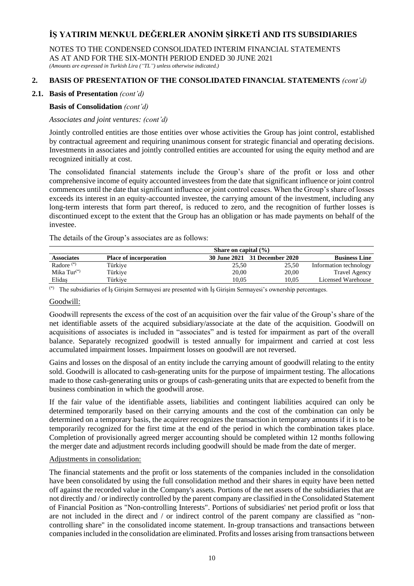NOTES TO THE CONDENSED CONSOLIDATED INTERIM FINANCIAL STATEMENTS AS AT AND FOR THE SIX-MONTH PERIOD ENDED 30 JUNE 2021

*(Amounts are expressed in Turkish Lira ("TL") unless otherwise indicated.)*

# **2. BASIS OF PRESENTATION OF THE CONSOLIDATED FINANCIAL STATEMENTS** *(cont'd)*

## **2.1. Basis of Presentation** *(cont'd)*

## **Basis of Consolidation** *(cont'd)*

## *Associates and joint ventures: (cont'd)*

Jointly controlled entities are those entities over whose activities the Group has joint control, established by contractual agreement and requiring unanimous consent for strategic financial and operating decisions. Investments in associates and jointly controlled entities are accounted for using the equity method and are recognized initially at cost.

The consolidated financial statements include the Group's share of the profit or loss and other comprehensive income of equity accounted investees from the date that significant influence or joint control commences until the date that significant influence or joint control ceases. When the Group's share of losses exceeds its interest in an equity-accounted investee, the carrying amount of the investment, including any long-term interests that form part thereof, is reduced to zero, and the recognition of further losses is discontinued except to the extent that the Group has an obligation or has made payments on behalf of the investee.

The details of the Group's associates are as follows:

|                   |                               | Share on capital $(\% )$      |       |                        |
|-------------------|-------------------------------|-------------------------------|-------|------------------------|
| <b>Associates</b> | <b>Place of incorporation</b> | 30 June 2021 31 December 2020 |       | <b>Business Line</b>   |
| Radore $(*)$      | Türkiye                       | 25.50                         | 25,50 | Information technology |
| Mika $Tur^{(*)}$  | Türkiye                       | 20,00                         | 20,00 | <b>Travel Agency</b>   |
| Elidaş            | Türkive                       | 10.05                         | 10.05 | Licensed Warehouse     |

(\*) The subsidiaries of İş Girişim Sermayesi are presented with İş Girişim Sermayesi's ownership percentages.

## Goodwill:

Goodwill represents the excess of the cost of an acquisition over the fair value of the Group's share of the net identifiable assets of the acquired subsidiary/associate at the date of the acquisition. Goodwill on acquisitions of associates is included in "associates" and is tested for impairment as part of the overall balance. Separately recognized goodwill is tested annually for impairment and carried at cost less accumulated impairment losses. Impairment losses on goodwill are not reversed.

Gains and losses on the disposal of an entity include the carrying amount of goodwill relating to the entity sold. Goodwill is allocated to cash-generating units for the purpose of impairment testing. The allocations made to those cash-generating units or groups of cash-generating units that are expected to benefit from the business combination in which the goodwill arose.

If the fair value of the identifiable assets, liabilities and contingent liabilities acquired can only be determined temporarily based on their carrying amounts and the cost of the combination can only be determined on a temporary basis, the acquirer recognizes the transaction in temporary amounts if it is to be temporarily recognized for the first time at the end of the period in which the combination takes place. Completion of provisionally agreed merger accounting should be completed within 12 months following the merger date and adjustment records including goodwill should be made from the date of merger.

### Adjustments in consolidation:

The financial statements and the profit or loss statements of the companies included in the consolidation have been consolidated by using the full consolidation method and their shares in equity have been netted off against the recorded value in the Company's assets. Portions of the net assets of the subsidiaries that are not directly and / or indirectly controlled by the parent company are classified in the Consolidated Statement of Financial Position as "Non-controlling Interests". Portions of subsidiaries' net period profit or loss that are not included in the direct and / or indirect control of the parent company are classified as "noncontrolling share" in the consolidated income statement. In-group transactions and transactions between companies included in the consolidation are eliminated. Profits and losses arising from transactions between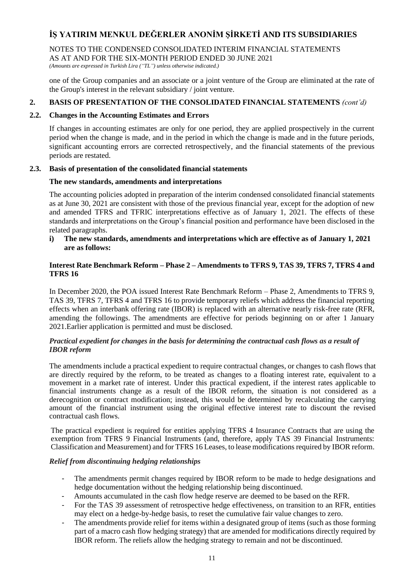### NOTES TO THE CONDENSED CONSOLIDATED INTERIM FINANCIAL STATEMENTS AS AT AND FOR THE SIX-MONTH PERIOD ENDED 30 JUNE 2021

*(Amounts are expressed in Turkish Lira ("TL") unless otherwise indicated.)*

one of the Group companies and an associate or a joint venture of the Group are eliminated at the rate of the Group's interest in the relevant subsidiary / joint venture.

# **2. BASIS OF PRESENTATION OF THE CONSOLIDATED FINANCIAL STATEMENTS** *(cont'd)*

## **2.2. Changes in the Accounting Estimates and Errors**

If changes in accounting estimates are only for one period, they are applied prospectively in the current period when the change is made, and in the period in which the change is made and in the future periods, significant accounting errors are corrected retrospectively, and the financial statements of the previous periods are restated.

## **2.3. Basis of presentation of the consolidated financial statements**

## **The new standards, amendments and interpretations**

The accounting policies adopted in preparation of the interim condensed consolidated financial statements as at June 30, 2021 are consistent with those of the previous financial year, except for the adoption of new and amended TFRS and TFRIC interpretations effective as of January 1, 2021. The effects of these standards and interpretations on the Group's financial position and performance have been disclosed in the related paragraphs.

**i) The new standards, amendments and interpretations which are effective as of January 1, 2021 are as follows:**

## **Interest Rate Benchmark Reform – Phase 2 – Amendments to TFRS 9, TAS 39, TFRS 7, TFRS 4 and TFRS 16**

In December 2020, the POA issued Interest Rate Benchmark Reform – Phase 2, Amendments to TFRS 9, TAS 39, TFRS 7, TFRS 4 and TFRS 16 to provide temporary reliefs which address the financial reporting effects when an interbank offering rate (IBOR) is replaced with an alternative nearly risk-free rate (RFR, amending the followings. The amendments are effective for periods beginning on or after 1 January 2021.Earlier application is permitted and must be disclosed.

### *Practical expedient for changes in the basis for determining the contractual cash flows as a result of IBOR reform*

The amendments include a practical expedient to require contractual changes, or changes to cash flows that are directly required by the reform, to be treated as changes to a floating interest rate, equivalent to a movement in a market rate of interest. Under this practical expedient, if the interest rates applicable to financial instruments change as a result of the IBOR reform, the situation is not considered as a derecognition or contract modification; instead, this would be determined by recalculating the carrying amount of the financial instrument using the original effective interest rate to discount the revised contractual cash flows.

The practical expedient is required for entities applying TFRS 4 Insurance Contracts that are using the exemption from TFRS 9 Financial Instruments (and, therefore, apply TAS 39 Financial Instruments: Classification and Measurement) and for TFRS 16 Leases, to lease modifications required by IBOR reform.

# *Relief from discontinuing hedging relationships*

- The amendments permit changes required by IBOR reform to be made to hedge designations and hedge documentation without the hedging relationship being discontinued.
- Amounts accumulated in the cash flow hedge reserve are deemed to be based on the RFR.
- For the TAS 39 assessment of retrospective hedge effectiveness, on transition to an RFR, entities may elect on a hedge-by-hedge basis, to reset the cumulative fair value changes to zero.
- The amendments provide relief for items within a designated group of items (such as those forming part of a macro cash flow hedging strategy) that are amended for modifications directly required by IBOR reform. The reliefs allow the hedging strategy to remain and not be discontinued.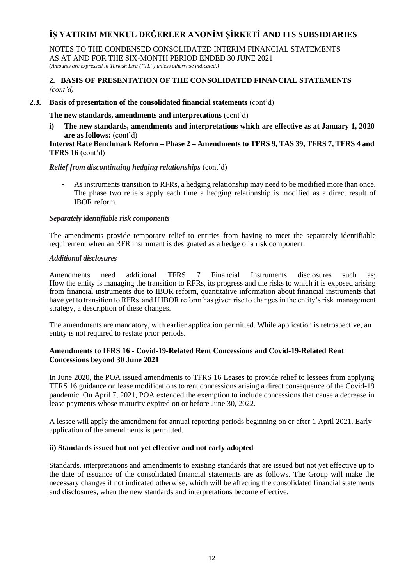NOTES TO THE CONDENSED CONSOLIDATED INTERIM FINANCIAL STATEMENTS AS AT AND FOR THE SIX-MONTH PERIOD ENDED 30 JUNE 2021 *(Amounts are expressed in Turkish Lira ("TL") unless otherwise indicated.)*

### **2. BASIS OF PRESENTATION OF THE CONSOLIDATED FINANCIAL STATEMENTS**  *(cont'd)*

### **2.3. Basis of presentation of the consolidated financial statements** (cont'd)

### **The new standards, amendments and interpretations** (cont'd)

**i) The new standards, amendments and interpretations which are effective as at January 1, 2020 are as follows:** (cont'd)

### **Interest Rate Benchmark Reform – Phase 2 – Amendments to TFRS 9, TAS 39, TFRS 7, TFRS 4 and TFRS 16** (cont'd)

### *Relief from discontinuing hedging relationships* (cont'd)

As instruments transition to RFRs, a hedging relationship may need to be modified more than once. The phase two reliefs apply each time a hedging relationship is modified as a direct result of IBOR reform.

### *Separately identifiable risk components*

The amendments provide temporary relief to entities from having to meet the separately identifiable requirement when an RFR instrument is designated as a hedge of a risk component.

### *Additional disclosures*

Amendments need additional TFRS 7 Financial Instruments disclosures such as; How the entity is managing the transition to RFRs, its progress and the risks to which it is exposed arising from financial instruments due to IBOR reform, quantitative information about financial instruments that have yet to transition to RFRs and If IBOR reform has given rise to changes in the entity's risk management strategy, a description of these changes.

The amendments are mandatory, with earlier application permitted. While application is retrospective, an entity is not required to restate prior periods.

### **Amendments to IFRS 16 - Covid-19-Related Rent Concessions and Covid-19-Related Rent Concessions beyond 30 June 2021**

In June 2020, the POA issued amendments to TFRS 16 Leases to provide relief to lessees from applying TFRS 16 guidance on lease modifications to rent concessions arising a direct consequence of the Covid-19 pandemic. On April 7, 2021, POA extended the exemption to include concessions that cause a decrease in lease payments whose maturity expired on or before June 30, 2022.

A lessee will apply the amendment for annual reporting periods beginning on or after 1 April 2021. Early application of the amendments is permitted.

### **ii) Standards issued but not yet effective and not early adopted**

Standards, interpretations and amendments to existing standards that are issued but not yet effective up to the date of issuance of the consolidated financial statements are as follows. The Group will make the necessary changes if not indicated otherwise, which will be affecting the consolidated financial statements and disclosures, when the new standards and interpretations become effective.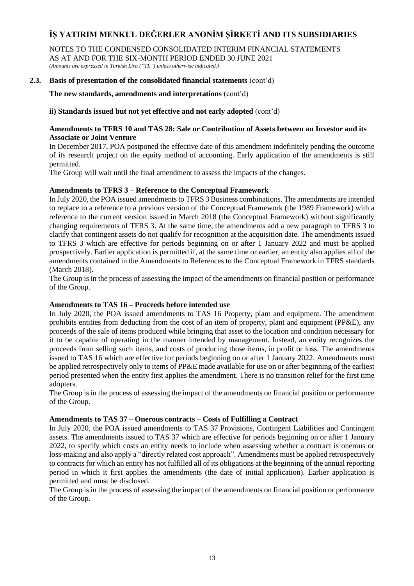NOTES TO THE CONDENSED CONSOLIDATED INTERIM FINANCIAL STATEMENTS AS AT AND FOR THE SIX-MONTH PERIOD ENDED 30 JUNE 2021 *(Amounts are expressed in Turkish Lira ("TL") unless otherwise indicated.)*

## **2.3. Basis of presentation of the consolidated financial statements** (cont'd)

**The new standards, amendments and interpretations** (cont'd)

**ii) Standards issued but not yet effective and not early adopted** (cont'd)

## **Amendments to TFRS 10 and TAS 28: Sale or Contribution of Assets between an Investor and its Associate or Joint Venture**

In December 2017, POA postponed the effective date of this amendment indefinitely pending the outcome of its research project on the equity method of accounting. Early application of the amendments is still permitted.

The Group will wait until the final amendment to assess the impacts of the changes.

## **Amendments to TFRS 3 – Reference to the Conceptual Framework**

In July 2020, the POA issued amendments to TFRS 3 Business combinations. The amendments are intended to replace to a reference to a previous version of the Conceptual Framework (the 1989 Framework) with a reference to the current version issued in March 2018 (the Conceptual Framework) without significantly changing requirements of TFRS 3. At the same time, the amendments add a new paragraph to TFRS 3 to clarify that contingent assets do not qualify for recognition at the acquisition date. The amendments issued to TFRS 3 which are effective for periods beginning on or after 1 January 2022 and must be applied prospectively. Earlier application is permitted if, at the same time or earlier, an entity also applies all of the amendments contained in the Amendments to References to the Conceptual Framework in TFRS standards (March 2018).

The Group is in the process of assessing the impact of the amendments on financial position or performance of the Group.

### **Amendments to TAS 16 – Proceeds before intended use**

In July 2020, the POA issued amendments to TAS 16 Property, plant and equipment. The amendment prohibits entities from deducting from the cost of an item of property, plant and equipment (PP&E), any proceeds of the sale of items produced while bringing that asset to the location and condition necessary for it to be capable of operating in the manner intended by management. Instead, an entity recognizes the proceeds from selling such items, and costs of producing those items, in profit or loss. The amendments issued to TAS 16 which are effective for periods beginning on or after 1 January 2022. Amendments must be applied retrospectively only to items of PP&E made available for use on or after beginning of the earliest period presented when the entity first applies the amendment. There is no transition relief for the first time adopters.

The Group is in the process of assessing the impact of the amendments on financial position or performance of the Group.

## **Amendments to TAS 37 – Onerous contracts – Costs of Fulfilling a Contract**

In July 2020, the POA issued amendments to TAS 37 Provisions, Contingent Liabilities and Contingent assets. The amendments issued to TAS 37 which are effective for periods beginning on or after 1 January 2022, to specify which costs an entity needs to include when assessing whether a contract is onerous or loss-making and also apply a "directly related cost approach". Amendments must be applied retrospectively to contracts for which an entity has not fulfilled all of its obligations at the beginning of the annual reporting period in which it first applies the amendments (the date of initial application). Earlier application is permitted and must be disclosed.

The Group is in the process of assessing the impact of the amendments on financial position or performance of the Group.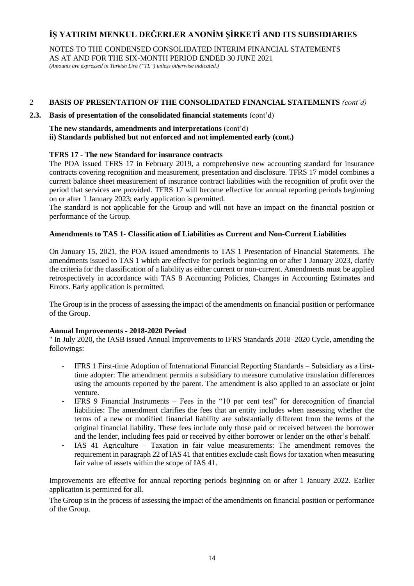NOTES TO THE CONDENSED CONSOLIDATED INTERIM FINANCIAL STATEMENTS AS AT AND FOR THE SIX-MONTH PERIOD ENDED 30 JUNE 2021 *(Amounts are expressed in Turkish Lira ("TL") unless otherwise indicated.)*

## 2 **BASIS OF PRESENTATION OF THE CONSOLIDATED FINANCIAL STATEMENTS** *(cont'd)*

### **2.3. Basis of presentation of the consolidated financial statements** (cont'd)

**The new standards, amendments and interpretations** (cont'd) **ii) Standards published but not enforced and not implemented early (cont.)**

## **TFRS 17 - The new Standard for insurance contracts**

The POA issued TFRS 17 in February 2019, a comprehensive new accounting standard for insurance contracts covering recognition and measurement, presentation and disclosure. TFRS 17 model combines a current balance sheet measurement of insurance contract liabilities with the recognition of profit over the period that services are provided. TFRS 17 will become effective for annual reporting periods beginning on or after 1 January 2023; early application is permitted.

The standard is not applicable for the Group and will not have an impact on the financial position or performance of the Group.

## **Amendments to TAS 1- Classification of Liabilities as Current and Non-Current Liabilities**

On January 15, 2021, the POA issued amendments to TAS 1 Presentation of Financial Statements. The amendments issued to TAS 1 which are effective for periods beginning on or after 1 January 2023, clarify the criteria for the classification of a liability as either current or non-current. Amendments must be applied retrospectively in accordance with TAS 8 Accounting Policies, Changes in Accounting Estimates and Errors. Early application is permitted.

The Group is in the process of assessing the impact of the amendments on financial position or performance of the Group.

### **Annual Improvements - 2018-2020 Period**

" In July 2020, the IASB issued Annual Improvements to IFRS Standards 2018–2020 Cycle, amending the followings:

- IFRS 1 First-time Adoption of International Financial Reporting Standards Subsidiary as a firsttime adopter: The amendment permits a subsidiary to measure cumulative translation differences using the amounts reported by the parent. The amendment is also applied to an associate or joint venture.
- IFRS 9 Financial Instruments Fees in the "10 per cent test" for derecognition of financial liabilities: The amendment clarifies the fees that an entity includes when assessing whether the terms of a new or modified financial liability are substantially different from the terms of the original financial liability. These fees include only those paid or received between the borrower and the lender, including fees paid or received by either borrower or lender on the other's behalf.
- IAS 41 Agriculture Taxation in fair value measurements: The amendment removes the requirement in paragraph 22 of IAS 41 that entities exclude cash flows for taxation when measuring fair value of assets within the scope of IAS 41.

Improvements are effective for annual reporting periods beginning on or after 1 January 2022. Earlier application is permitted for all.

The Group is in the process of assessing the impact of the amendments on financial position or performance of the Group.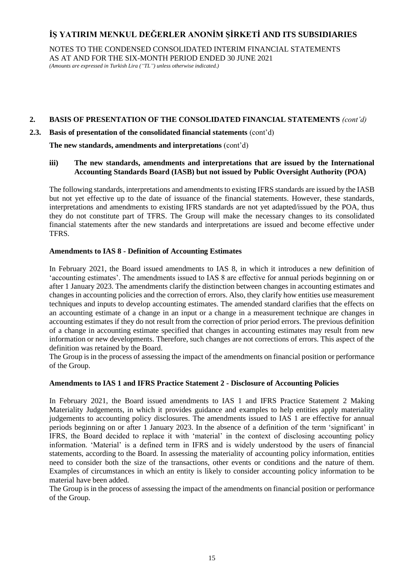NOTES TO THE CONDENSED CONSOLIDATED INTERIM FINANCIAL STATEMENTS AS AT AND FOR THE SIX-MONTH PERIOD ENDED 30 JUNE 2021

*(Amounts are expressed in Turkish Lira ("TL") unless otherwise indicated.)*

# **2. BASIS OF PRESENTATION OF THE CONSOLIDATED FINANCIAL STATEMENTS** *(cont'd)*

## **2.3. Basis of presentation of the consolidated financial statements** (cont'd)

**The new standards, amendments and interpretations** (cont'd)

## **iii) The new standards, amendments and interpretations that are issued by the International Accounting Standards Board (IASB) but not issued by Public Oversight Authority (POA)**

The following standards, interpretations and amendments to existing IFRS standards are issued by the IASB but not yet effective up to the date of issuance of the financial statements. However, these standards, interpretations and amendments to existing IFRS standards are not yet adapted/issued by the POA, thus they do not constitute part of TFRS. The Group will make the necessary changes to its consolidated financial statements after the new standards and interpretations are issued and become effective under TFRS.

## **Amendments to IAS 8 - Definition of Accounting Estimates**

In February 2021, the Board issued amendments to IAS 8, in which it introduces a new definition of 'accounting estimates'. The amendments issued to IAS 8 are effective for annual periods beginning on or after 1 January 2023. The amendments clarify the distinction between changes in accounting estimates and changes in accounting policies and the correction of errors. Also, they clarify how entities use measurement techniques and inputs to develop accounting estimates. The amended standard clarifies that the effects on an accounting estimate of a change in an input or a change in a measurement technique are changes in accounting estimates if they do not result from the correction of prior period errors. The previous definition of a change in accounting estimate specified that changes in accounting estimates may result from new information or new developments. Therefore, such changes are not corrections of errors. This aspect of the definition was retained by the Board.

The Group is in the process of assessing the impact of the amendments on financial position or performance of the Group.

### **Amendments to IAS 1 and IFRS Practice Statement 2 - Disclosure of Accounting Policies**

In February 2021, the Board issued amendments to IAS 1 and IFRS Practice Statement 2 Making Materiality Judgements, in which it provides guidance and examples to help entities apply materiality judgements to accounting policy disclosures. The amendments issued to IAS 1 are effective for annual periods beginning on or after 1 January 2023. In the absence of a definition of the term 'significant' in IFRS, the Board decided to replace it with 'material' in the context of disclosing accounting policy information. 'Material' is a defined term in IFRS and is widely understood by the users of financial statements, according to the Board. In assessing the materiality of accounting policy information, entities need to consider both the size of the transactions, other events or conditions and the nature of them. Examples of circumstances in which an entity is likely to consider accounting policy information to be material have been added.

The Group is in the process of assessing the impact of the amendments on financial position or performance of the Group.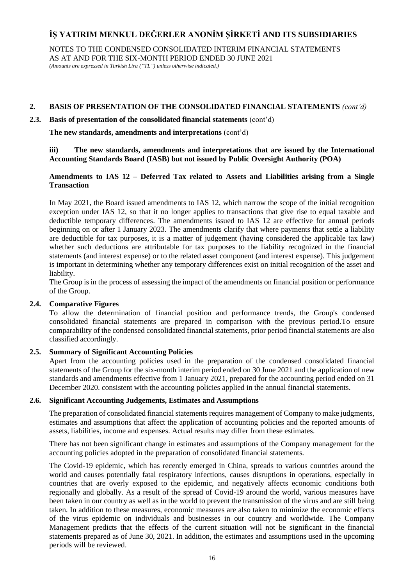NOTES TO THE CONDENSED CONSOLIDATED INTERIM FINANCIAL STATEMENTS AS AT AND FOR THE SIX-MONTH PERIOD ENDED 30 JUNE 2021

*(Amounts are expressed in Turkish Lira ("TL") unless otherwise indicated.)*

# **2. BASIS OF PRESENTATION OF THE CONSOLIDATED FINANCIAL STATEMENTS** *(cont'd)*

## **2.3. Basis of presentation of the consolidated financial statements** (cont'd)

**The new standards, amendments and interpretations** (cont'd)

## **iii) The new standards, amendments and interpretations that are issued by the International Accounting Standards Board (IASB) but not issued by Public Oversight Authority (POA)**

# **Amendments to IAS 12 – Deferred Tax related to Assets and Liabilities arising from a Single Transaction**

In May 2021, the Board issued amendments to IAS 12, which narrow the scope of the initial recognition exception under IAS 12, so that it no longer applies to transactions that give rise to equal taxable and deductible temporary differences. The amendments issued to IAS 12 are effective for annual periods beginning on or after 1 January 2023. The amendments clarify that where payments that settle a liability are deductible for tax purposes, it is a matter of judgement (having considered the applicable tax law) whether such deductions are attributable for tax purposes to the liability recognized in the financial statements (and interest expense) or to the related asset component (and interest expense). This judgement is important in determining whether any temporary differences exist on initial recognition of the asset and liability.

The Group is in the process of assessing the impact of the amendments on financial position or performance of the Group.

# **2.4. Comparative Figures**

To allow the determination of financial position and performance trends, the Group's condensed consolidated financial statements are prepared in comparison with the previous period.To ensure comparability of the condensed consolidated financial statements, prior period financial statements are also classified accordingly.

# **2.5. Summary of Significant Accounting Policies**

Apart from the accounting policies used in the preparation of the condensed consolidated financial statements of the Group for the six-month interim period ended on 30 June 2021 and the application of new standards and amendments effective from 1 January 2021, prepared for the accounting period ended on 31 December 2020. consistent with the accounting policies applied in the annual financial statements.

### **2.6. Significant Accounting Judgements, Estimates and Assumptions**

The preparation of consolidated financial statements requires management of Company to make judgments, estimates and assumptions that affect the application of accounting policies and the reported amounts of assets, liabilities, income and expenses. Actual results may differ from these estimates.

There has not been significant change in estimates and assumptions of the Company management for the accounting policies adopted in the preparation of consolidated financial statements.

The Covid-19 epidemic, which has recently emerged in China, spreads to various countries around the world and causes potentially fatal respiratory infections, causes disruptions in operations, especially in countries that are overly exposed to the epidemic, and negatively affects economic conditions both regionally and globally. As a result of the spread of Covid-19 around the world, various measures have been taken in our country as well as in the world to prevent the transmission of the virus and are still being taken. In addition to these measures, economic measures are also taken to minimize the economic effects of the virus epidemic on individuals and businesses in our country and worldwide. The Company Management predicts that the effects of the current situation will not be significant in the financial statements prepared as of June 30, 2021. In addition, the estimates and assumptions used in the upcoming periods will be reviewed.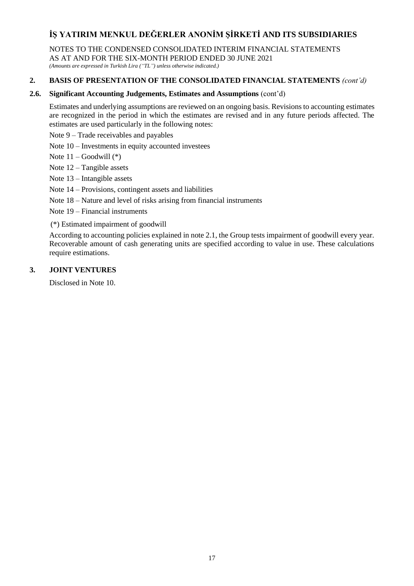NOTES TO THE CONDENSED CONSOLIDATED INTERIM FINANCIAL STATEMENTS

AS AT AND FOR THE SIX-MONTH PERIOD ENDED 30 JUNE 2021

*(Amounts are expressed in Turkish Lira ("TL") unless otherwise indicated.)*

# **2. BASIS OF PRESENTATION OF THE CONSOLIDATED FINANCIAL STATEMENTS** *(cont'd)*

# **2.6. Significant Accounting Judgements, Estimates and Assumptions** (cont'd)

Estimates and underlying assumptions are reviewed on an ongoing basis. Revisions to accounting estimates are recognized in the period in which the estimates are revised and in any future periods affected. The estimates are used particularly in the following notes:

Note 9 – Trade receivables and payables

Note 10 – Investments in equity accounted investees

Note  $11 - Goodwill (*)$ 

Note 12 – Tangible assets

Note 13 – Intangible assets

Note 14 – Provisions, contingent assets and liabilities

Note 18 – Nature and level of risks arising from financial instruments

Note 19 – Financial instruments

(\*) Estimated impairment of goodwill

According to accounting policies explained in note 2.1, the Group tests impairment of goodwill every year. Recoverable amount of cash generating units are specified according to value in use. These calculations require estimations.

# **3. JOINT VENTURES**

Disclosed in Note 10.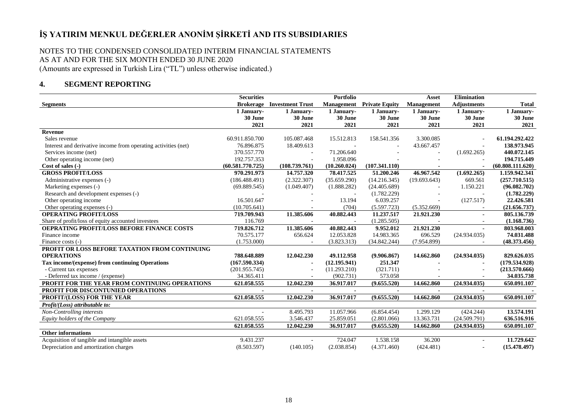## NOTES TO THE CONDENSED CONSOLIDATED INTERIM FINANCIAL STATEMENTS AS AT AND FOR THE SIX MONTH ENDED 30 JUNE 2020 (Amounts are expressed in Turkish Lira ("TL") unless otherwise indicated.)

# **4. SEGMENT REPORTING**

|                                                                | <b>Securities</b> |                         | Portfolio         |                       | Asset             | <b>Elimination</b> |                  |
|----------------------------------------------------------------|-------------------|-------------------------|-------------------|-----------------------|-------------------|--------------------|------------------|
| <b>Segments</b>                                                | <b>Brokerage</b>  | <b>Investment Trust</b> | <b>Management</b> | <b>Private Equity</b> | <b>Management</b> | <b>Adjustments</b> | <b>Total</b>     |
|                                                                | 1 January-        | 1 January-              | 1 January-        | 1 January-            | 1 January-        | 1 January-         | 1 January-       |
|                                                                | 30 June           | 30 June                 | 30 June           | 30 June               | 30 June           | 30 June            | 30 June          |
|                                                                | 2021              | 2021                    | 2021              | 2021                  | 2021              | 2021               | 2021             |
| Revenue                                                        |                   |                         |                   |                       |                   |                    |                  |
| Sales revenue                                                  | 60.911.850.700    | 105.087.468             | 15.512.813        | 158.541.356           | 3.300.085         |                    | 61.194.292.422   |
| Interest and derivative income from operating activities (net) | 76.896.875        | 18.409.613              |                   |                       | 43.667.457        |                    | 138.973.945      |
| Services income (net)                                          | 370.557.770       | $\sim$                  | 71.206.640        |                       |                   | (1.692.265)        | 440.072.145      |
| Other operating income (net)                                   | 192.757.353       | ÷.                      | 1.958.096         |                       |                   |                    | 194.715.449      |
| Cost of sales (-)                                              | (60.581.770.725)  | (108.739.761)           | (10.260.024)      | (107.341.110)         |                   |                    | (60.808.111.620) |
| <b>GROSS PROFIT/LOSS</b>                                       | 970.291.973       | 14.757.320              | 78.417.525        | 51.200.246            | 46.967.542        | (1.692.265)        | 1.159.942.341    |
| Administrative expenses (-)                                    | (186.488.491)     | (2.322.307)             | (35.659.290)      | (14.216.345)          | (19.693.643)      | 669.561            | (257.710.515)    |
| Marketing expenses (-)                                         | (69.889.545)      | (1.049.407)             | (1.888.282)       | (24.405.689)          |                   | 1.150.221          | (96.082.702)     |
| Research and development expenses (-)                          |                   |                         |                   | (1.782.229)           |                   |                    | (1.782.229)      |
| Other operating income                                         | 16.501.647        |                         | 13.194            | 6.039.257             |                   | (127.517)          | 22.426.581       |
| Other operating expenses (-)                                   | (10.705.641)      |                         | (704)             | (5.597.723)           | (5.352.669)       |                    | (21.656.737)     |
| <b>OPERATING PROFIT/LOSS</b>                                   | 719.709.943       | 11.385.606              | 40.882.443        | 11.237.517            | 21.921.230        |                    | 805.136.739      |
| Share of profit/loss of equity accounted investees             | 116.769           |                         |                   | (1.285.505)           |                   |                    | (1.168.736)      |
| OEPRATING PROFIT/LOSS BEFORE FINANCE COSTS                     | 719.826.712       | 11.385.606              | 40.882.443        | 9.952.012             | 21.921.230        | $\blacksquare$     | 803.968.003      |
| Finance income                                                 | 70.575.177        | 656.624                 | 12.053.828        | 14.983.365            | 696.529           | (24.934.035)       | 74.031.488       |
| Finance costs (-)                                              | (1.753.000)       |                         | (3.823.313)       | (34.842.244)          | (7.954.899)       |                    | (48.373.456)     |
| PROFIT OR LOSS BEFORE TAXATION FROM CONTINUING                 |                   |                         |                   |                       |                   |                    |                  |
| <b>OPERATIONS</b>                                              | 788.648.889       | 12.042.230              | 49.112.958        | (9.906.867)           | 14.662.860        | (24.934.035)       | 829.626.035      |
| Tax income/(expense) from continuing Operations                | (167.590.334)     |                         | (12.195.941)      | 251.347               |                   |                    | (179.534.928)    |
| - Current tax expenses                                         | (201.955.745)     |                         | (11.293.210)      | (321.711)             |                   |                    | (213.570.666)    |
| - Deferred tax income / (expense)                              | 34.365.411        |                         | (902.731)         | 573.058               |                   |                    | 34.035.738       |
| PROFIT FOR THE YEAR FROM CONTINUING OPERATIONS                 | 621.058.555       | 12.042.230              | 36.917.017        | (9.655.520)           | 14.662.860        | (24.934.035)       | 650.091.107      |
| PROFIT FOR DISCONTUNIED OPERATIONS                             |                   | $\blacksquare$          | $\blacksquare$    | $\blacksquare$        | $\blacksquare$    | $\blacksquare$     |                  |
| PROFIT/(LOSS) FOR THE YEAR                                     | 621.058.555       | 12.042.230              | 36.917.017        | (9.655.520)           | 14.662.860        | (24.934.035)       | 650.091.107      |
| Profit/(Loss) attributable to:                                 |                   |                         |                   |                       |                   |                    |                  |
| Non-Controlling interests                                      | $\sim$            | 8.495.793               | 11.057.966        | (6.854.454)           | 1.299.129         | (424.244)          | 13.574.191       |
| Equity holders of the Company                                  | 621.058.555       | 3.546.437               | 25.859.051        | (2.801.066)           | 13.363.731        | (24.509.791)       | 636.516.916      |
|                                                                | 621.058.555       | 12.042.230              | 36.917.017        | (9.655.520)           | 14.662.860        | (24.934.035)       | 650.091.107      |
| <b>Other informations</b>                                      |                   |                         |                   |                       |                   |                    |                  |
| Acquisition of tangible and intangible assets                  | 9.431.237         |                         | 724.047           | 1.538.158             | 36.200            |                    | 11.729.642       |
| Depreciation and amortization charges                          | (8.503.597)       | (140.105)               | (2.038.854)       | (4.371.460)           | (424.481)         |                    | (15.478.497)     |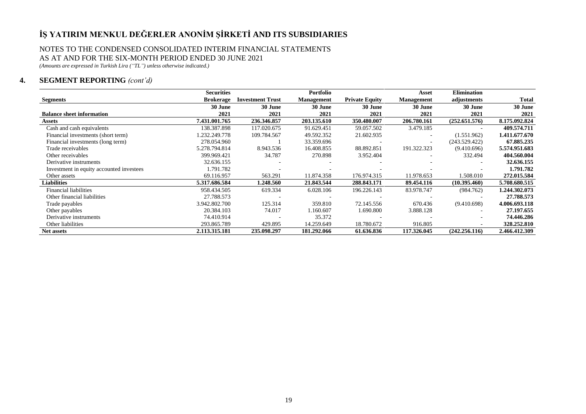#### NOTES TO THE CONDENSED CONSOLIDATED INTERIM FINANCIAL STATEMENTS AS AT AND FOR THE SIX-MONTH PERIOD ENDED 30 JUNE 2021

*(Amounts are expressed in Turkish Lira ("TL") unless otherwise indicated.)*

# **4. SEGMENT REPORTING** *(cont'd)*

|                                          | <b>Securities</b> |                         | Portfolio         |                       | Asset             | <b>Elimination</b> |               |
|------------------------------------------|-------------------|-------------------------|-------------------|-----------------------|-------------------|--------------------|---------------|
| <b>Segments</b>                          | <b>Brokerage</b>  | <b>Investment Trust</b> | <b>Management</b> | <b>Private Equity</b> | <b>Management</b> | adjustments        | Total         |
|                                          | 30 June           | 30 June                 | 30 June           | 30 June               | 30 June           | 30 June            | 30 June       |
| <b>Balance sheet information</b>         | 2021              | 2021                    | 2021              | 2021                  | 2021              | 2021               | 2021          |
| Assets                                   | 7.431.001.765     | 236.346.857             | 203.135.610       | 350.480.007           | 206.780.161       | (252.651.576)      | 8.175.092.824 |
| Cash and cash equivalents                | 138.387.898       | 117.020.675             | 91.629.451        | 59.057.502            | 3.479.185         |                    | 409.574.711   |
| Financial investments (short term)       | 1.232.249.778     | 109.784.567             | 49.592.352        | 21.602.935            |                   | (1.551.962)        | 1.411.677.670 |
| Financial investments (long term)        | 278.054.960       |                         | 33.359.696        |                       |                   | (243.529.422)      | 67.885.235    |
| Trade receivables                        | 5.278.794.814     | 8.943.536               | 16.408.855        | 88.892.851            | 191.322.323       | (9.410.696)        | 5.574.951.683 |
| Other receivables                        | 399.969.421       | 34.787                  | 270.898           | 3.952.404             |                   | 332.494            | 404.560.004   |
| Derivative instruments                   | 32.636.155        |                         |                   |                       |                   |                    | 32.636.155    |
| Investment in equity accounted investees | 1.791.782         |                         |                   |                       |                   |                    | 1.791.782     |
| Other assets                             | 69.116.957        | 563.291                 | 11.874.358        | 176.974.315           | 11.978.653        | 1.508.010          | 272.015.584   |
| <b>Liabilities</b>                       | 5.317.686.584     | 1.248.560               | 21.843.544        | 288.843.171           | 89.454.116        | (10.395.460)       | 5.708.680.515 |
| Financial liabilities                    | 958.434.505       | 619.334                 | 6.028.106         | 196.226.143           | 83.978.747        | (984.762)          | 1.244.302.073 |
| Other financial liabilities              | 27.788.573        |                         |                   |                       |                   |                    | 27.788.573    |
| Trade payables                           | 3.942.802.700     | 125.314                 | 359.810           | 72.145.556            | 670.436           | (9.410.698)        | 4.006.693.118 |
| Other payables                           | 20.384.103        | 74.017                  | 1.160.607         | 1.690.800             | 3.888.128         |                    | 27.197.655    |
| Derivative instruments                   | 74.410.914        |                         | 35.372            |                       |                   |                    | 74.446.286    |
| Other liabilities                        | 293.865.789       | 429.895                 | 14.259.649        | 18.780.672            | 916.805           |                    | 328.252.810   |
| Net assets                               | 2.113.315.181     | 235.098.297             | 181.292.066       | 61.636.836            | 117.326.045       | (242.256.116)      | 2.466.412.309 |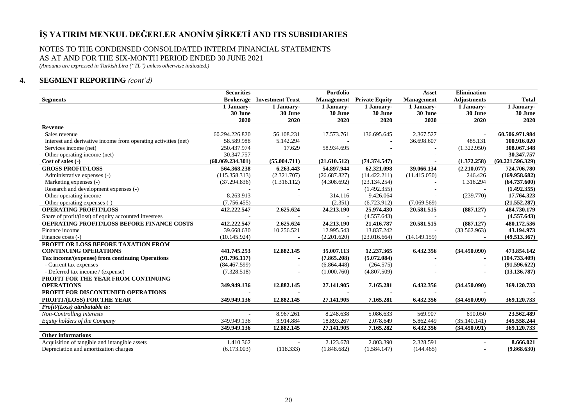#### NOTES TO THE CONDENSED CONSOLIDATED INTERIM FINANCIAL STATEMENTS AS AT AND FOR THE SIX-MONTH PERIOD ENDED 30 JUNE 2021

*(Amounts are expressed in Turkish Lira ("TL") unless otherwise indicated.)*

# **4. SEGMENT REPORTING** *(cont'd)*

|                                                                | <b>Securities</b> |                          | <b>Portfolio</b> |                                  | <b>Asset</b>             | <b>Elimination</b>       |                  |
|----------------------------------------------------------------|-------------------|--------------------------|------------------|----------------------------------|--------------------------|--------------------------|------------------|
| <b>Segments</b>                                                | <b>Brokerage</b>  | <b>Investment Trust</b>  |                  | <b>Management</b> Private Equity | Management               | <b>Adjustments</b>       | <b>Total</b>     |
|                                                                | 1 January-        | 1 January-               | 1 January-       | 1 January-                       | 1 January-               | 1 January-               | 1 January-       |
|                                                                | 30 June           | 30 June                  | 30 June          | 30 June                          | 30 June                  | 30 June                  | $30\,{\rm June}$ |
|                                                                | 2020              | 2020                     | 2020             | 2020                             | 2020                     | 2020                     | 2020             |
| Revenue                                                        |                   |                          |                  |                                  |                          |                          |                  |
| Sales revenue                                                  | 60.294.226.820    | 56.108.231               | 17.573.761       | 136.695.645                      | 2.367.527                |                          | 60.506.971.984   |
| Interest and derivative income from operating activities (net) | 58.589.988        | 5.142.294                |                  |                                  | 36.698.607               | 485.131                  | 100.916.020      |
| Services income (net)                                          | 250.437.974       | 17.629                   | 58.934.695       |                                  |                          | (1.322.950)              | 308.067.348      |
| Other operating income (net)                                   | 30.347.757        |                          |                  |                                  |                          |                          | 30.347.757       |
| Cost of sales (-)                                              | (60.069.234.301)  | (55.004.711)             | (21.610.512)     | (74.374.547)                     |                          | (1.372.258)              | (60.221.596.329) |
| <b>GROSS PROFIT/LOSS</b>                                       | 564.368.238       | 6.263.443                | 54.897.944       | 62.321.098                       | 39.066.134               | (2.210.077)              | 724.706.780      |
| Administrative expenses (-)                                    | (115.358.313)     | (2.321.707)              | (26.687.827)     | (14.422.211)                     | (11.415.050)             | 246.426                  | (169.958.682)    |
| Marketing expenses (-)                                         | (37.294.836)      | (1.316.112)              | (4.308.692)      | (23.134.254)                     |                          | 1.316.294                | (64.737.600)     |
| Research and development expenses (-)                          |                   |                          |                  | (1.492.355)                      |                          |                          | (1.492.355)      |
| Other operating income                                         | 8.263.913         |                          | 314.116          | 9.426.064                        |                          | (239.770)                | 17.764.323       |
| Other operating expenses (-)                                   | (7.756.455)       |                          | (2.351)          | (6.723.912)                      | (7.069.569)              | $\sim$                   | (21.552.287)     |
| <b>OPERATING PROFIT/LOSS</b>                                   | 412.222.547       | 2.625.624                | 24.213.190       | 25.974.430                       | 20.581.515               | (887.127)                | 484.730.179      |
| Share of profit/(loss) of equity accounted investees           |                   | $\overline{\phantom{a}}$ | $\sim$           | (4.557.643)                      | $\overline{\phantom{a}}$ | $\overline{\phantom{a}}$ | (4.557.643)      |
| OEPRATING PROFIT/LOSS BEFORE FINANCE COSTS                     | 412.222.547       | 2.625.624                | 24.213.190       | 21.416.787                       | 20.581.515               | (887.127)                | 480.172.536      |
| Finance income                                                 | 39.668.630        | 10.256.521               | 12.995.543       | 13.837.242                       | $\sim$                   | (33.562.963)             | 43.194.973       |
| Finance costs (-)                                              | (10.145.924)      |                          | (2.201.620)      | (23.016.664)                     | (14.149.159)             |                          | (49.513.367)     |
| PROFIT OR LOSS BEFORE TAXATION FROM                            |                   |                          |                  |                                  |                          |                          |                  |
| <b>CONTINUING OPERATIONS</b>                                   | 441.745.253       | 12.882.145               | 35.007.113       | 12.237.365                       | 6.432.356                | (34.450.090)             | 473.854.142      |
| Tax income/(expense) from continuing Operations                | (91.796.117)      | $\blacksquare$           | (7.865.208)      | (5.072.084)                      |                          |                          | (104.733.409)    |
| - Current tax expenses                                         | (84.467.599)      |                          | (6.864.448)      | (264.575)                        |                          |                          | (91.596.622)     |
| - Deferred tax income / (expense)                              | (7.328.518)       |                          | (1.000.760)      | (4.807.509)                      |                          |                          | (13.136.787)     |
| PROFIT FOR THE YEAR FROM CONTINUING                            |                   |                          |                  |                                  |                          |                          |                  |
| <b>OPERATIONS</b>                                              | 349.949.136       | 12.882.145               | 27.141.905       | 7.165.281                        | 6.432.356                | (34.450.090)             | 369.120.733      |
| PROFIT FOR DISCONTUNIED OPERATIONS                             |                   | $\overline{\phantom{a}}$ |                  |                                  | $\overline{a}$           | $\blacksquare$           |                  |
| PROFIT/(LOSS) FOR THE YEAR                                     | 349.949.136       | 12.882.145               | 27.141.905       | 7.165.281                        | 6.432.356                | (34.450.090)             | 369.120.733      |
| Profit/(Loss) attributable to:                                 |                   |                          |                  |                                  |                          |                          |                  |
| Non-Controlling interests                                      |                   | 8.967.261                | 8.248.638        | 5.086.633                        | 569.907                  | 690.050                  | 23.562.489       |
| Equity holders of the Company                                  | 349.949.136       | 3.914.884                | 18.893.267       | 2.078.649                        | 5.862.449                | (35.140.141)             | 345.558.244      |
|                                                                | 349.949.136       | 12.882.145               | 27.141.905       | 7.165.282                        | 6.432.356                | (34.450.091)             | 369.120.733      |
| <b>Other informations</b>                                      |                   |                          |                  |                                  |                          |                          |                  |
| Acquisition of tangible and intangible assets                  | 1.410.362         |                          | 2.123.678        | 2.803.390                        | 2.328.591                |                          | 8.666.021        |
| Depreciation and amortization charges                          | (6.173.003)       | (118.333)                | (1.848.682)      | (1.584.147)                      | (144.465)                |                          | (9.868.630)      |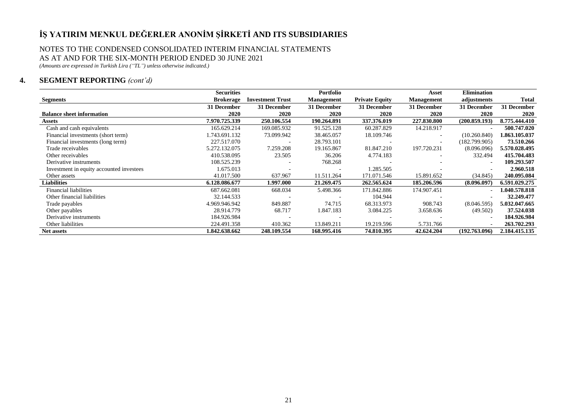#### NOTES TO THE CONDENSED CONSOLIDATED INTERIM FINANCIAL STATEMENTS AS AT AND FOR THE SIX-MONTH PERIOD ENDED 30 JUNE 2021

*(Amounts are expressed in Turkish Lira ("TL") unless otherwise indicated.)*

# **4. SEGMENT REPORTING** *(cont'd)*

|                                          | <b>Securities</b> |                         | Portfolio         |                       | Asset                    | <b>Elimination</b> |               |
|------------------------------------------|-------------------|-------------------------|-------------------|-----------------------|--------------------------|--------------------|---------------|
| <b>Segments</b>                          | <b>Brokerage</b>  | <b>Investment Trust</b> | <b>Management</b> | <b>Private Equity</b> | <b>Management</b>        | adjustments        | Total         |
|                                          | 31 December       | 31 December             | 31 December       | 31 December           | 31 December              | 31 December        | 31 December   |
| <b>Balance sheet information</b>         | 2020              | 2020                    | 2020              | 2020                  | 2020                     | 2020               | 2020          |
| Assets                                   | 7.970.725.339     | 250.106.554             | 190.264.891       | 337.376.019           | 227.830.800              | (200.859.193)      | 8.775.444.410 |
| Cash and cash equivalents                | 165.629.214       | 169.085.932             | 91.525.128        | 60.287.829            | 14.218.917               |                    | 500.747.020   |
| Financial investments (short term)       | 1.743.691.132     | 73.099.942              | 38.465.057        | 18.109.746            |                          | (10.260.840)       | 1.863.105.037 |
| Financial investments (long term)        | 227.517.070       |                         | 28.793.101        |                       | $\overline{\phantom{a}}$ | (182.799.905)      | 73.510.266    |
| Trade receivables                        | 5.272.132.075     | 7.259.208               | 19.165.867        | 81.847.210            | 197.720.231              | (8.096.096)        | 5.570.028.495 |
| Other receivables                        | 410.538.095       | 23.505                  | 36.206            | 4.774.183             | ٠                        | 332.494            | 415.704.483   |
| Derivative instruments                   | 108.525.239       |                         | 768.268           |                       |                          |                    | 109.293.507   |
| Investment in equity accounted investees | 1.675.013         |                         |                   | 1.285.505             |                          |                    | 2.960.518     |
| Other assets                             | 41.017.500        | 637.967                 | 11.511.264        | 171.071.546           | 15.891.652               | (34.845)           | 240.095.084   |
| <b>Liabilities</b>                       | 6.128.086.677     | 1.997.000               | 21.269.475        | 262.565.624           | 185.206.596              | (8.096.097)        | 6.591.029.275 |
| <b>Financial liabilities</b>             | 687.662.081       | 668.034                 | 5.498.366         | 171.842.886           | 174.907.451              |                    | 1.040.578.818 |
| Other financial liabilities              | 32.144.533        |                         |                   | 104.944               |                          |                    | 32.249.477    |
| Trade payables                           | 4.969.946.942     | 849.887                 | 74.715            | 68.313.973            | 908.743                  | (8.046.595)        | 5.032.047.665 |
| Other payables                           | 28.914.779        | 68.717                  | 1.847.183         | 3.084.225             | 3.658.636                | (49.502)           | 37.524.038    |
| Derivative instruments                   | 184.926.984       |                         |                   |                       |                          |                    | 184.926.984   |
| Other liabilities                        | 224.491.358       | 410.362                 | 13.849.211        | 19.219.596            | 5.731.766                |                    | 263.702.293   |
| <b>Net assets</b>                        | 1.842.638.662     | 248.109.554             | 168.995.416       | 74.810.395            | 42.624.204               | (192.763.096)      | 2.184.415.135 |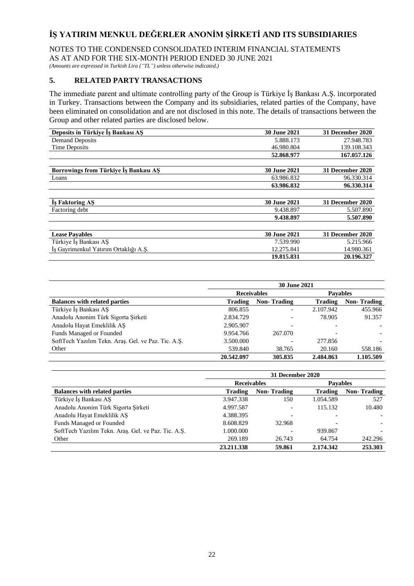NOTES TO THE CONDENSED CONSOLIDATED INTERIM FINANCIAL STATEMENTS AS AT AND FOR THE SIX-MONTH PERIOD ENDED 30 JUNE 2021

*(Amounts are expressed in Turkish Lira ("TL") unless otherwise indicated.)*

# **5. RELATED PARTY TRANSACTIONS**

The immediate parent and ultimate controlling party of the Group is Türkiye İş Bankası A.Ş. incorporated in Turkey. Transactions between the Company and its subsidiaries, related parties of the Company, have been eliminated on consolidation and are not disclosed in this note. The details of transactions between the Group and other related parties are disclosed below.

| Deposits in Türkiye Is Bankası AS     | <b>30 June 2021</b> | 31 December 2020 |
|---------------------------------------|---------------------|------------------|
| <b>Demand Deposits</b>                | 5.888.173           | 27.948.783       |
| Time Deposits                         | 46.980.804          | 139.108.343      |
|                                       | 52.868.977          | 167.057.126      |
|                                       |                     |                  |
| Borrowings from Türkiye Iş Bankası AŞ | <b>30 June 2021</b> | 31 December 2020 |
| Loans                                 | 63.986.832          | 96.330.314       |
|                                       | 63.986.832          | 96.330.314       |
|                                       |                     |                  |
| Is Faktoring AS                       | <b>30 June 2021</b> | 31 December 2020 |
| Factoring debt                        | 9.438.897           | 5.507.890        |
|                                       | 9.438.897           | 5.507.890        |
|                                       |                     |                  |
| <b>Lease Pavables</b>                 | <b>30 June 2021</b> | 31 December 2020 |
| Türkiye İs Bankası AS                 | 7.539.990           | 5.215.966        |
| Is Gayrimenkul Yatırım Ortaklığı A.S. | 12.275.841          | 14.980.361       |
|                                       | 19.815.831          | 20.196.327       |

|                                                     | <b>30 June 2021</b> |                    |                 |                    |  |  |  |  |
|-----------------------------------------------------|---------------------|--------------------|-----------------|--------------------|--|--|--|--|
|                                                     | <b>Receivables</b>  |                    | <b>Pavables</b> |                    |  |  |  |  |
| <b>Balances with related parties</b>                | <b>Trading</b>      | <b>Non-Trading</b> | Trading         | <b>Non-Trading</b> |  |  |  |  |
| Türkiye İs Bankası AS                               | 806.855             |                    | 2.107.942       | 455.966            |  |  |  |  |
| Anadolu Anonim Türk Sigorta Şirketi                 | 2.834.729           |                    | 78.905          | 91.357             |  |  |  |  |
| Anadolu Hayat Emeklilik AŞ                          | 2.905.907           |                    |                 |                    |  |  |  |  |
| Funds Managed or Founded                            | 9.954.766           | 267.070            |                 |                    |  |  |  |  |
| SoftTech Yazılım Tekn. Aras. Gel. ve Paz. Tic. A.S. | 3.500.000           |                    | 277.856         |                    |  |  |  |  |
| Other                                               | 539.840             | 38.765             | 20.160          | 558.186            |  |  |  |  |
|                                                     | 20.542.097          | 305.835            | 2.484.863       | 1.105.509          |  |  |  |  |

|                                                     | 31 December 2020   |                    |                 |                    |  |  |  |  |
|-----------------------------------------------------|--------------------|--------------------|-----------------|--------------------|--|--|--|--|
|                                                     | <b>Receivables</b> |                    | <b>Pavables</b> |                    |  |  |  |  |
| <b>Balances with related parties</b>                | <b>Trading</b>     | <b>Non-Trading</b> | <b>Trading</b>  | <b>Non-Trading</b> |  |  |  |  |
| Türkiye İş Bankası AŞ                               | 3.947.338          | 150                | 1.054.589       | 527                |  |  |  |  |
| Anadolu Anonim Türk Sigorta Şirketi                 | 4.997.587          |                    | 115.132         | 10.480             |  |  |  |  |
| Anadolu Hayat Emeklilik AŞ                          | 4.388.395          |                    |                 |                    |  |  |  |  |
| Funds Managed or Founded                            | 8.608.829          | 32.968             |                 |                    |  |  |  |  |
| SoftTech Yazılım Tekn. Araş. Gel. ve Paz. Tic. A.Ş. | 1.000.000          |                    | 939.867         |                    |  |  |  |  |
| Other                                               | 269.189            | 26.743             | 64.754          | 242.296            |  |  |  |  |
|                                                     | 23.211.338         | 59.861             | 2.174.342       | 253,303            |  |  |  |  |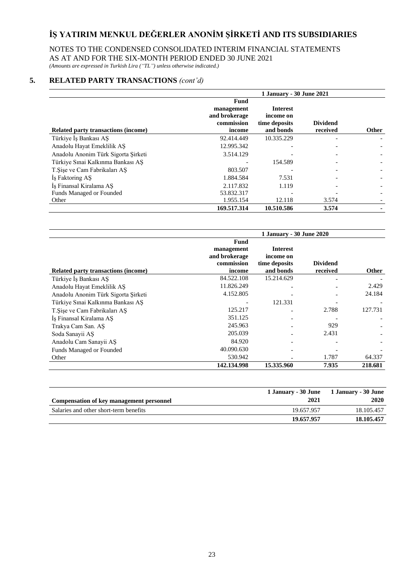### NOTES TO THE CONDENSED CONSOLIDATED INTERIM FINANCIAL STATEMENTS AS AT AND FOR THE SIX-MONTH PERIOD ENDED 30 JUNE 2021

*(Amounts are expressed in Turkish Lira ("TL") unless otherwise indicated.)*

# **5. RELATED PARTY TRANSACTIONS** *(cont'd)*

|                                     | 1 January - 30 June 2021                                    |                                                            |                             |              |  |  |  |  |
|-------------------------------------|-------------------------------------------------------------|------------------------------------------------------------|-----------------------------|--------------|--|--|--|--|
| Related party transactions (income) | Fund<br>management<br>and brokerage<br>commission<br>income | <b>Interest</b><br>income on<br>time deposits<br>and bonds | <b>Dividend</b><br>received | <b>Other</b> |  |  |  |  |
| Türkiye İş Bankası AŞ               | 92.414.449                                                  | 10.335.229                                                 |                             |              |  |  |  |  |
| Anadolu Hayat Emeklilik AS          | 12.995.342                                                  |                                                            |                             |              |  |  |  |  |
| Anadolu Anonim Türk Sigorta Şirketi | 3.514.129                                                   |                                                            |                             |              |  |  |  |  |
| Türkiye Sınai Kalkınma Bankası AS   |                                                             | 154.589                                                    |                             |              |  |  |  |  |
| T. Sise ve Cam Fabrikaları AS       | 803.507                                                     |                                                            |                             |              |  |  |  |  |
| İş Faktoring AŞ                     | 1.884.584                                                   | 7.531                                                      |                             |              |  |  |  |  |
| Is Finansal Kiralama AS             | 2.117.832                                                   | 1.119                                                      |                             |              |  |  |  |  |
| Funds Managed or Founded            | 53.832.317                                                  |                                                            |                             |              |  |  |  |  |
| Other                               | 1.955.154                                                   | 12.118                                                     | 3.574                       |              |  |  |  |  |
|                                     | 169.517.314                                                 | 10.510.586                                                 | 3.574                       |              |  |  |  |  |

|                                     | 1 January - 30 June 2020                                    |                                                            |                             |              |  |  |  |  |
|-------------------------------------|-------------------------------------------------------------|------------------------------------------------------------|-----------------------------|--------------|--|--|--|--|
| Related party transactions (income) | Fund<br>management<br>and brokerage<br>commission<br>income | <b>Interest</b><br>income on<br>time deposits<br>and bonds | <b>Dividend</b><br>received | <b>Other</b> |  |  |  |  |
| Türkiye İş Bankası AŞ               | 84.522.108                                                  | 15.214.629                                                 |                             |              |  |  |  |  |
| Anadolu Hayat Emeklilik AS          | 11.826.249                                                  |                                                            |                             | 2.429        |  |  |  |  |
| Anadolu Anonim Türk Sigorta Şirketi | 4.152.805                                                   |                                                            |                             | 24.184       |  |  |  |  |
| Türkiye Sınai Kalkınma Bankası AS   |                                                             | 121.331                                                    |                             |              |  |  |  |  |
| T. Sise ve Cam Fabrikaları AS       | 125.217                                                     |                                                            | 2.788                       | 127.731      |  |  |  |  |
| Iş Finansal Kiralama AŞ             | 351.125                                                     |                                                            |                             |              |  |  |  |  |
| Trakya Cam San. AS                  | 245.963                                                     |                                                            | 929                         |              |  |  |  |  |
| Soda Sanayii AS                     | 205.039                                                     |                                                            | 2.431                       |              |  |  |  |  |
| Anadolu Cam Sanayii AS              | 84.920                                                      |                                                            |                             |              |  |  |  |  |
| Funds Managed or Founded            | 40.090.630                                                  |                                                            |                             |              |  |  |  |  |
| Other                               | 530.942                                                     |                                                            | 1.787                       | 64.337       |  |  |  |  |
|                                     | 142.134.998                                                 | 15.335.960                                                 | 7.935                       | 218.681      |  |  |  |  |

| Compensation of key management personnel | 1 January - 30 June<br>2021 | 1 January - 30 June<br>2020 |
|------------------------------------------|-----------------------------|-----------------------------|
| Salaries and other short-term benefits   | 19.657.957                  | 18.105.457                  |
|                                          | 19.657.957                  | 18.105.457                  |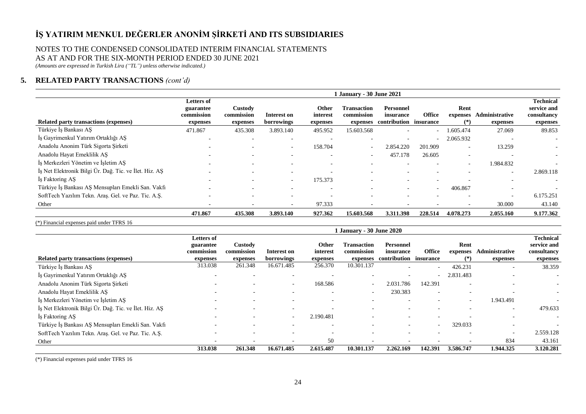### NOTES TO THE CONDENSED CONSOLIDATED INTERIM FINANCIAL STATEMENTS AS AT AND FOR THE SIX-MONTH PERIOD ENDED 30 JUNE 2021

*(Amounts are expressed in Turkish Lira ("TL") unless otherwise indicated.)*

# **5. RELATED PARTY TRANSACTIONS** *(cont'd)*

|                                                        |                                                   |                                   |                           |                               | 1 January - 30 June 2021                     |                                                         |                          |                           |                                   |                                                            |
|--------------------------------------------------------|---------------------------------------------------|-----------------------------------|---------------------------|-------------------------------|----------------------------------------------|---------------------------------------------------------|--------------------------|---------------------------|-----------------------------------|------------------------------------------------------------|
| Related party transactions (expenses)                  | Letters of<br>guarantee<br>commission<br>expenses | Custody<br>commission<br>expenses | Interest on<br>borrowings | Other<br>interest<br>expenses | <b>Transaction</b><br>commission<br>expenses | <b>Personnel</b><br>insurance<br>contribution insurance | <b>Office</b>            | Rent<br>expenses<br>$(*)$ | <b>Administrative</b><br>expenses | <b>Technical</b><br>service and<br>consultancy<br>expenses |
| Türkiye İş Bankası AŞ                                  | 471.867                                           | 435.308                           | 3.893.140                 | 495.952                       | 15.603.568                                   | $\overline{\phantom{0}}$                                | $\sim$                   | 1.605.474                 | 27.069                            | 89.853                                                     |
| Iş Gayrimenkul Yatırım Ortaklığı AŞ                    | $\overline{\phantom{0}}$                          | $\overline{\phantom{a}}$          | $\overline{\phantom{a}}$  | $\overline{\phantom{a}}$      | $\overline{\phantom{0}}$                     | $\overline{\phantom{a}}$                                | $\overline{\phantom{a}}$ | 2.065.932                 | $\overline{\phantom{a}}$          |                                                            |
| Anadolu Anonim Türk Sigorta Şirketi                    |                                                   | $\overline{a}$                    | $\overline{\phantom{a}}$  | 158.704                       | $\sim$                                       | 2.854.220                                               | 201.909                  | $\overline{\phantom{a}}$  | 13.259                            | $\sim$                                                     |
| Anadolu Hayat Emeklilik AŞ                             |                                                   |                                   | $\overline{\phantom{a}}$  | $\overline{\phantom{a}}$      | $\sim$                                       | 457.178                                                 | 26.605                   | $\overline{\phantom{a}}$  | $\overline{\phantom{a}}$          |                                                            |
| İş Merkezleri Yönetim ve İşletim AŞ                    |                                                   | $\overline{a}$                    | $\overline{\phantom{a}}$  | $\sim$                        | $\overline{\phantom{0}}$                     | $\overline{\phantom{a}}$                                | $\overline{\phantom{0}}$ | $\sim$                    | 1.984.832                         |                                                            |
| İş Net Elektronik Bilgi Ür. Dağ. Tic. ve İlet. Hiz. AŞ |                                                   |                                   | $\overline{\phantom{a}}$  | $\overline{\phantom{a}}$      |                                              | $\overline{\phantom{a}}$                                | $\overline{\phantom{0}}$ |                           | $\overline{\phantom{0}}$          | 2.869.118                                                  |
| Is Faktoring AS                                        | $\overline{\phantom{0}}$                          | -                                 | $\overline{\phantom{0}}$  | 175.373                       |                                              | $\overline{a}$                                          | $\sim$                   |                           | $\overline{\phantom{0}}$          |                                                            |
| Türkiye İş Bankası AŞ Mensupları Emekli San. Vakfı     |                                                   |                                   | $\overline{\phantom{a}}$  | $\overline{\phantom{a}}$      |                                              | $\overline{\phantom{0}}$                                | $\overline{\phantom{a}}$ | 406.867                   | $\sim$                            |                                                            |
| SoftTech Yazılım Tekn. Araş. Gel. ve Paz. Tic. A.Ş.    |                                                   |                                   |                           |                               |                                              |                                                         |                          |                           | $\sim$                            | 6.175.251                                                  |
| Other                                                  | $\overline{\phantom{0}}$                          |                                   | $\overline{\phantom{a}}$  | 97.333                        |                                              | $\overline{\phantom{a}}$                                |                          |                           | 30.000                            | 43.140                                                     |
|                                                        | 471.867                                           | 435.308                           | 3.893.140                 | 927.362                       | 15.603.568                                   | 3.311.398                                               | 228.514                  | 4.078.273                 | 2.055.160                         | 9.177.362                                                  |

(\*) Financial expenses paid under TFRS 16

|                                                        | <b>1 January - 30 June 2020</b>                   |                                   |                           |                               |                                              |                                                  |                          |                        |                                   |                                                            |
|--------------------------------------------------------|---------------------------------------------------|-----------------------------------|---------------------------|-------------------------------|----------------------------------------------|--------------------------------------------------|--------------------------|------------------------|-----------------------------------|------------------------------------------------------------|
| Related party transactions (expenses)                  | Letters of<br>guarantee<br>commission<br>expenses | Custody<br>commission<br>expenses | Interest on<br>borrowings | Other<br>interest<br>expenses | <b>Transaction</b><br>commission<br>expenses | Personnel<br>insurance<br>contribution insurance | <b>Office</b>            | Rent<br>expenses<br>(* | <b>Administrative</b><br>expenses | <b>Technical</b><br>service and<br>consultancy<br>expenses |
| Türkiye İş Bankası AŞ                                  | 313.038                                           | 261.348                           | 16.671.485                | 256.370                       | 10.301.137                                   |                                                  | $\sim$                   | 426.231                | $\overline{\phantom{a}}$          | 38.359                                                     |
| İş Gayrimenkul Yatırım Ortaklığı AŞ                    |                                                   |                                   |                           |                               |                                              |                                                  | $\overline{\phantom{a}}$ | 2.831.483              |                                   |                                                            |
| Anadolu Anonim Türk Sigorta Şirketi                    |                                                   | $\overline{a}$                    | $\sim$                    | 168.586                       | $\overline{\phantom{a}}$                     | 2.031.786                                        | 142.391                  |                        |                                   |                                                            |
| Anadolu Hayat Emeklilik AŞ                             |                                                   |                                   |                           |                               | $\overline{\phantom{a}}$                     | 230.383                                          | $\overline{\phantom{0}}$ |                        |                                   |                                                            |
| İş Merkezleri Yönetim ve İşletim AŞ                    |                                                   | $\overline{\phantom{0}}$          |                           | $\overline{\phantom{a}}$      |                                              |                                                  |                          | $\sim$                 | 1.943.491                         |                                                            |
| İş Net Elektronik Bilgi Ür. Dağ. Tic. ve İlet. Hiz. AŞ |                                                   |                                   | $\sim$                    | $\overline{\phantom{a}}$      |                                              | $\sim$                                           | $\overline{\phantom{a}}$ |                        | $\overline{\phantom{a}}$          | 479.633                                                    |
| Is Faktoring AS                                        |                                                   |                                   | $\sim$                    | 2.190.481                     |                                              | $\sim$                                           | $\overline{\phantom{a}}$ |                        |                                   | ٠                                                          |
| Türkiye İş Bankası AŞ Mensupları Emekli San. Vakfı     |                                                   |                                   | $\sim$                    | $\overline{\phantom{a}}$      |                                              | $\sim$                                           | $\overline{\phantom{a}}$ | 329.033                | $\overline{\phantom{a}}$          | $\overline{a}$                                             |
| SoftTech Yazılım Tekn. Araş. Gel. ve Paz. Tic. A.Ş.    |                                                   | $\overline{\phantom{0}}$          | $\overline{\phantom{a}}$  | $\overline{\phantom{0}}$      |                                              |                                                  | $\overline{\phantom{a}}$ |                        | $\overline{\phantom{0}}$          | 2.559.128                                                  |
| Other                                                  |                                                   | $\overline{\phantom{0}}$          |                           | 50                            |                                              | $\overline{\phantom{0}}$                         |                          |                        | 834                               | 43.161                                                     |
|                                                        | 313.038                                           | 261.348                           | 16.671.485                | 2.615.487                     | 10.301.137                                   | 2.262.169                                        | 142.391                  | 3.586.747              | 1.944.325                         | 3.120.281                                                  |

(\*) Financial expenses paid under TFRS 16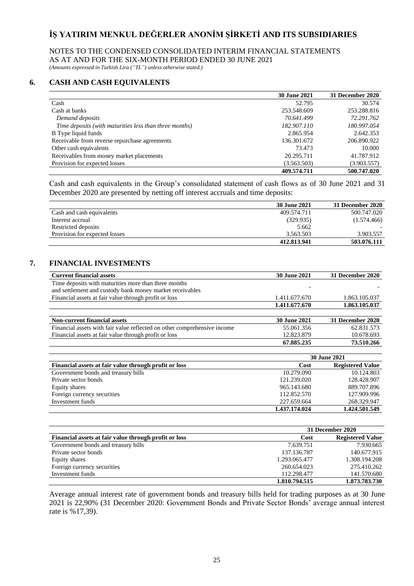### NOTES TO THE CONDENSED CONSOLIDATED INTERIM FINANCIAL STATEMENTS AS AT AND FOR THE SIX-MONTH PERIOD ENDED 30 JUNE 2021

*(Amounts expressed in Turkish Lira ("TL") unless otherwise stated.)*

## **6. CASH AND CASH EQUIVALENTS**

|                                                        | <b>30 June 2021</b> | <b>31 December 2020</b> |
|--------------------------------------------------------|---------------------|-------------------------|
| Cash                                                   | 52.795              | 30.574                  |
| Cash at banks                                          | 253.548.609         | 253.288.816             |
| Demand deposits                                        | 70.641.499          | 72.291.762              |
| Time deposits (with maturities less than three months) | 182,907,110         | 180.997.054             |
| B Type liquid funds                                    | 2.865.954           | 2.642.353               |
| Receivable from reverse repurchase agreements          | 136.301.672         | 206.890.922             |
| Other cash equivalents                                 | 73.473              | 10.000                  |
| Receivables from money market placements               | 20.295.711          | 41.787.912              |
| Provision for expected losses                          | (3.563.503)         | (3.903.557)             |
|                                                        | 409.574.711         | 500.747.020             |

Cash and cash equivalents in the Group's consolidated statement of cash flows as of 30 June 2021 and 31 December 2020 are presented by netting off interest accruals and time deposits:

|                               | <b>30 June 2021</b> | 31 December 2020 |
|-------------------------------|---------------------|------------------|
| Cash and cash equivalents     | 409.574.711         | 500.747.020      |
| Interest accrual              | (329.935)           | (1.574.466)      |
| Restricted deposits           | 5.662               |                  |
| Provision for expected losses | 3.563.503           | 3.903.557        |
|                               | 412.813.941         | 503.076.111      |

### **7. FINANCIAL INVESTMENTS**

| <b>Current financial assets</b>                                          | <b>30 June 2021</b> | 31 December 2020        |  |
|--------------------------------------------------------------------------|---------------------|-------------------------|--|
| Time deposits with maturities more than three months                     |                     |                         |  |
| and settlement and custody bank money market receivables                 |                     |                         |  |
| Financial assets at fair value through profit or loss                    | 1.411.677.670       | 1.863.105.037           |  |
|                                                                          | 1.411.677.670       | 1.863.105.037           |  |
|                                                                          |                     |                         |  |
| <b>Non-current financial assets</b>                                      | <b>30 June 2021</b> | 31 December 2020        |  |
| Financial assets with fair value reflected on other comprehensive income | 55.061.356          | 62.831.573              |  |
| Financial assets at fair value through profit or loss                    | 12.823.879          | 10.678.693              |  |
|                                                                          | 67.885.235          | 73.510.266              |  |
|                                                                          |                     |                         |  |
|                                                                          | <b>30 June 2021</b> |                         |  |
| Financial assets at fair value through profit or loss                    | Cost                | <b>Registered Value</b> |  |

| Financial assets at fair value through profit of loss | vost          | Registeled value |
|-------------------------------------------------------|---------------|------------------|
| Government bonds and treasury bills                   | 10.279.090    | 10.124.803       |
| Private sector bonds                                  | 121.239.020   | 128.428.907      |
| Equity shares                                         | 965.143.680   | 889.707.896      |
| Foreign currency securities                           | 112.852.570   | 127.909.996      |
| Investment funds                                      | 227.659.664   | 268.329.947      |
|                                                       | 1.437.174.024 | 1.424.501.549    |

|                                                       | 31 December 2020 |                         |  |
|-------------------------------------------------------|------------------|-------------------------|--|
| Financial assets at fair value through profit or loss | Cost             | <b>Registered Value</b> |  |
| Government bonds and treasury bills                   | 7.639.751        | 7.930.665               |  |
| Private sector bonds                                  | 137.136.787      | 140.677.915             |  |
| Equity shares                                         | 1.293.065.477    | 1.308.194.208           |  |
| Foreign currency securities                           | 260.654.023      | 275.410.262             |  |
| Investment funds                                      | 112.298.477      | 141.570.680             |  |
|                                                       | 1.810.794.515    | 1.873.783.730           |  |

Average annual interest rate of government bonds and treasury bills held for trading purposes as at 30 June 2021 is 22,90% (31 December 2020: Government Bonds and Private Sector Bonds' average annual interest rate is %17,39).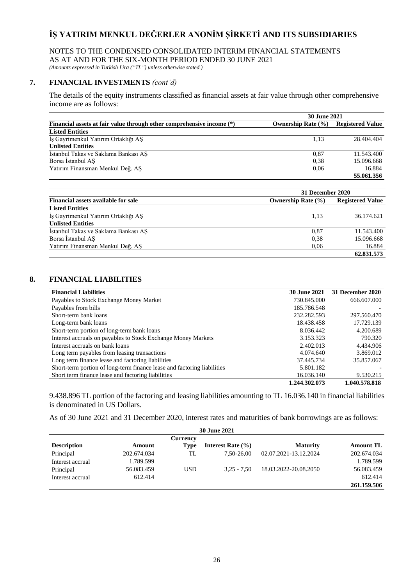### NOTES TO THE CONDENSED CONSOLIDATED INTERIM FINANCIAL STATEMENTS AS AT AND FOR THE SIX-MONTH PERIOD ENDED 30 JUNE 2021

*(Amounts expressed in Turkish Lira ("TL") unless otherwise stated.)*

# **7. FINANCIAL INVESTMENTS** *(cont'd)*

The details of the equity instruments classified as financial assets at fair value through other comprehensive income are as follows:

|                                                                       | <b>30 June 2021</b>    |                         |  |
|-----------------------------------------------------------------------|------------------------|-------------------------|--|
| Financial assets at fair value through other comprehensive income (*) | Ownership Rate $(\% )$ | <b>Registered Value</b> |  |
| <b>Listed Entities</b>                                                |                        |                         |  |
| İş Gayrimenkul Yatırım Ortaklığı AŞ                                   | 1.13                   | 28.404.404              |  |
| <b>Unlisted Entities</b>                                              |                        |                         |  |
| İstanbul Takas ve Saklama Bankası AS                                  | 0.87                   | 11.543.400              |  |
| Borsa İstanbul AŞ                                                     | 0,38                   | 15.096.668              |  |
| Yatırım Finansman Menkul Değ. AS                                      | 0.06                   | 16.884                  |  |
|                                                                       |                        | 55.061.356              |  |

|                                            | 31 December 2020       |                         |  |  |
|--------------------------------------------|------------------------|-------------------------|--|--|
| <b>Financial assets available for sale</b> | Ownership Rate $(\% )$ | <b>Registered Value</b> |  |  |
| <b>Listed Entities</b>                     |                        |                         |  |  |
| Is Gayrimenkul Yatırım Ortaklığı AS        | 1.13                   | 36.174.621              |  |  |
| <b>Unlisted Entities</b>                   |                        |                         |  |  |
| İstanbul Takas ve Saklama Bankası AS       | 0,87                   | 11.543.400              |  |  |
| Borsa Istanbul AS                          | 0.38                   | 15.096.668              |  |  |
| Yatırım Finansman Menkul Değ. AS           | 0.06                   | 16.884                  |  |  |
|                                            |                        | 62.831.573              |  |  |

# **8. FINANCIAL LIABILITIES**

| <b>Financial Liabilities</b>                                            | <b>30 June 2021</b> | 31 December 2020 |
|-------------------------------------------------------------------------|---------------------|------------------|
| Payables to Stock Exchange Money Market                                 | 730.845.000         | 666.607.000      |
| Payables from bills                                                     | 185.786.548         |                  |
| Short-term bank loans                                                   | 232.282.593         | 297.560.470      |
| Long-term bank loans                                                    | 18.438.458          | 17.729.139       |
| Short-term portion of long-term bank loans                              | 8.036.442           | 4.200.689        |
| Interest accruals on payables to Stock Exchange Money Markets           | 3.153.323           | 790.320          |
| Interest accruals on bank loans                                         | 2.402.013           | 4.434.906        |
| Long term payables from leasing transactions                            | 4.074.640           | 3.869.012        |
| Long term finance lease and factoring liabilities                       | 37.445.734          | 35.857.067       |
| Short-term portion of long-term finance lease and factoring liabilities | 5.801.182           |                  |
| Short term finance lease and factoring liabilities                      | 16.036.140          | 9.530.215        |
|                                                                         | 1.244.302.073       | 1.040.578.818    |

9.438.896 TL portion of the factoring and leasing liabilities amounting to TL 16.036.140 in financial liabilities is denominated in US Dollars.

As of 30 June 2021 and 31 December 2020, interest rates and maturities of bank borrowings are as follows:

| <b>30 June 2021</b> |             |             |                       |                       |                  |
|---------------------|-------------|-------------|-----------------------|-----------------------|------------------|
|                     |             | Currency    |                       |                       |                  |
| <b>Description</b>  | Amount      | <b>Type</b> | Interest Rate $(\% )$ | <b>Maturity</b>       | <b>Amount TL</b> |
| Principal           | 202.674.034 | TL          | 7.50-26.00            | 02.07.2021-13.12.2024 | 202.674.034      |
| Interest accrual    | 1.789.599   |             |                       |                       | 1.789.599        |
| Principal           | 56.083.459  | <b>USD</b>  | $3.25 - 7.50$         | 18.03.2022-20.08.2050 | 56.083.459       |
| Interest accrual    | 612.414     |             |                       |                       | 612.414          |
|                     |             |             |                       |                       | 261.159.506      |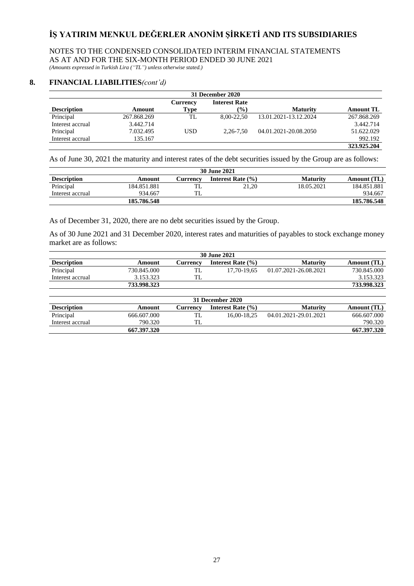NOTES TO THE CONDENSED CONSOLIDATED INTERIM FINANCIAL STATEMENTS AS AT AND FOR THE SIX-MONTH PERIOD ENDED 30 JUNE 2021

*(Amounts expressed in Turkish Lira ("TL") unless otherwise stated.)*

### **8. FINANCIAL LIABILITIES***(cont'd)*

| 31 December 2020   |             |            |                      |                       |                  |  |  |
|--------------------|-------------|------------|----------------------|-----------------------|------------------|--|--|
|                    |             | Currency   | <b>Interest Rate</b> |                       |                  |  |  |
| <b>Description</b> | Amount      | Type       | $\frac{9}{6}$        | <b>Maturity</b>       | <b>Amount TL</b> |  |  |
| Principal          | 267.868.269 | TL         | 8.00-22.50           | 13.01.2021-13.12.2024 | 267.868.269      |  |  |
| Interest accrual   | 3.442.714   |            |                      |                       | 3.442.714        |  |  |
| Principal          | 7.032.495   | <b>USD</b> | $2.26 - 7.50$        | 04.01.2021-20.08.2050 | 51.622.029       |  |  |
| Interest accrual   | 135.167     |            |                      |                       | 992.192          |  |  |
|                    |             |            |                      |                       | 323,925.204      |  |  |

As of June 30, 2021 the maturity and interest rates of the debt securities issued by the Group are as follows:

| <b>30 June 2021</b> |             |          |                       |                 |             |  |
|---------------------|-------------|----------|-----------------------|-----------------|-------------|--|
| <b>Description</b>  | Amount      | Currencv | Interest Rate $(\% )$ | <b>Maturity</b> | Amount (TL) |  |
| Principal           | 184.851.881 | ᅭ        | 21.20                 | 18.05.2021      | 184.851.881 |  |
| Interest accrual    | 934.667     | .        |                       |                 | 934.667     |  |
|                     | 185.786.548 |          |                       |                 | 185.786.548 |  |

As of December 31, 2020, there are no debt securities issued by the Group.

As of 30 June 2021 and 31 December 2020, interest rates and maturities of payables to stock exchange money market are as follows:

| <b>30 June 2021</b> |             |          |                       |                       |             |
|---------------------|-------------|----------|-----------------------|-----------------------|-------------|
| <b>Description</b>  | Amount      | Currencv | Interest Rate $(\% )$ | <b>Maturity</b>       | Amount (TL) |
| Principal           | 730.845.000 | TL       | 17,70-19,65           | 01.07.2021-26.08.2021 | 730.845.000 |
| Interest accrual    | 3.153.323   | TL       |                       |                       | 3.153.323   |
|                     | 733,998.323 |          |                       |                       | 733.998.323 |
| 31 December 2020    |             |          |                       |                       |             |
| <b>Description</b>  | Amount      | Currency | Interest Rate $(\% )$ | <b>Maturity</b>       | Amount (TL) |
| Principal           | 666.607.000 | TL       | 16.00-18.25           | 04.01.2021-29.01.2021 | 666.607.000 |

Interest accrual 790.320 TL 790.320 TL

**667.397.320 667.397.320**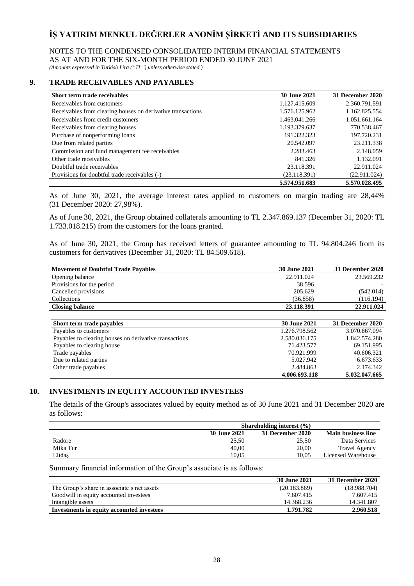### NOTES TO THE CONDENSED CONSOLIDATED INTERIM FINANCIAL STATEMENTS AS AT AND FOR THE SIX-MONTH PERIOD ENDED 30 JUNE 2021

*(Amounts expressed in Turkish Lira ("TL") unless otherwise stated.)*

## **9. TRADE RECEIVABLES AND PAYABLES**

| Short term trade receivables                                | <b>30 June 2021</b> | 31 December 2020 |
|-------------------------------------------------------------|---------------------|------------------|
| Receivables from customers                                  | 1.127.415.609       | 2.360.791.591    |
| Receivables from clearing houses on derivative transactions | 1.576.125.962       | 1.162.825.554    |
| Receivables from credit customers                           | 1.463.041.266       | 1.051.661.164    |
| Receivables from clearing houses                            | 1.193.379.637       | 770.538.467      |
| Purchase of nonperforming loans                             | 191.322.323         | 197.720.231      |
| Due from related parties                                    | 20.542.097          | 23.211.338       |
| Commission and fund management fee receivables              | 2.283.463           | 2.148.059        |
| Other trade receivables                                     | 841.326             | 1.132.091        |
| Doubtful trade receivables                                  | 23.118.391          | 22.911.024       |
| Provisions for doubtful trade receivables (-)               | (23.118.391)        | (22.911.024)     |
|                                                             | 5.574.951.683       | 5.570.028.495    |

As of June 30, 2021, the average interest rates applied to customers on margin trading are 28,44% (31 December 2020: 27,98%).

As of June 30, 2021, the Group obtained collaterals amounting to TL 2.347.869.137 (December 31, 2020: TL 1.733.018.215) from the customers for the loans granted.

As of June 30, 2021, the Group has received letters of guarantee amounting to TL 94.804.246 from its customers for derivatives (December 31, 2020: TL 84.509.618).

| <b>Movement of Doubtful Trade Pavables</b>             | <b>30 June 2021</b> | 31 December 2020 |
|--------------------------------------------------------|---------------------|------------------|
| Opening balance                                        | 22.911.024          | 23.569.232       |
| Provisions for the period                              | 38.596              |                  |
| Cancelled provisions                                   | 205.629             | (542.014)        |
| Collections                                            | (36.858)            | (116.194)        |
| <b>Closing balance</b>                                 | 23.118.391          | 22.911.024       |
|                                                        |                     |                  |
| Short term trade payables                              | <b>30 June 2021</b> | 31 December 2020 |
| Payables to customers                                  | 1.276.798.562       | 3.070.867.094    |
| Payables to clearing houses on derivative transactions | 2.580.036.175       | 1.842.574.280    |
| Payables to clearing house                             | 71.423.577          | 69.151.995       |
| Trade payables                                         | 70.921.999          | 40.606.321       |
| Due to related parties                                 | 5.027.942           | 6.673.633        |
| Other trade payables                                   | 2.484.863           | 2.174.342        |
|                                                        | 4.006.693.118       | 5.032.047.665    |

## **10. INVESTMENTS IN EQUITY ACCOUNTED INVESTEES**

The details of the Group's associates valued by equity method as of 30 June 2021 and 31 December 2020 are as follows:

|          |                     | Shareholding interest $(\% )$ |                           |
|----------|---------------------|-------------------------------|---------------------------|
|          | <b>30 June 2021</b> | 31 December 2020              | <b>Main business line</b> |
| Radore   | 25.50               | 25.50                         | Data Services             |
| Mika Tur | 40.00               | 20.00                         | <b>Travel Agency</b>      |
| Elidaş   | 10.05               | 10.05                         | Licensed Warehouse        |

Summary financial information of the Group's associate is as follows:

|                                             | 30 June 2021 | <b>31 December 2020</b> |
|---------------------------------------------|--------------|-------------------------|
| The Group's share in associate's net assets | (20.183.869) | (18.988.704)            |
| Goodwill in equity accounted investees      | 7.607.415    | 7.607.415               |
| Intangible assets                           | 14.368.236   | 14.341.807              |
| Investments in equity accounted investees   | 1.791.782    | 2.960.518               |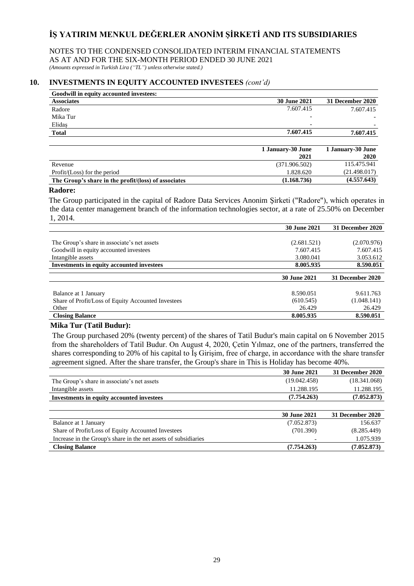NOTES TO THE CONDENSED CONSOLIDATED INTERIM FINANCIAL STATEMENTS AS AT AND FOR THE SIX-MONTH PERIOD ENDED 30 JUNE 2021 *(Amounts expressed in Turkish Lira ("TL") unless otherwise stated.)*

## **10. INVESTMENTS IN EQUITY ACCOUNTED INVESTEES** *(cont'd)*

| Goodwill in equity accounted investees:              |                     |                         |
|------------------------------------------------------|---------------------|-------------------------|
| <b>Associates</b>                                    | <b>30 June 2021</b> | <b>31 December 2020</b> |
| Radore                                               | 7.607.415           | 7.607.415               |
| Mika Tur                                             |                     |                         |
| Elidas                                               | -                   |                         |
| <b>Total</b>                                         | 7.607.415           | 7.607.415               |
|                                                      |                     |                         |
|                                                      | 1 January-30 June   | 1 January-30 June       |
|                                                      | 2021                | 2020                    |
| Revenue                                              | (371.906.502)       | 115.475.941             |
| Profit/(Loss) for the period                         | 1.828.620           | (21.498.017)            |
| The Group's share in the profit/(loss) of associates | (1.168.736)         | (4.557.643)             |

#### **Radore:**

The Group participated in the capital of Radore Data Services Anonim Şirketi ("Radore"), which operates in the data center management branch of the information technologies sector, at a rate of 25.50% on December 1, 2014.

|                                                    | <b>30 June 2021</b> | 31 December 2020 |
|----------------------------------------------------|---------------------|------------------|
|                                                    |                     |                  |
| The Group's share in associate's net assets        | (2.681.521)         | (2.070.976)      |
| Goodwill in equity accounted investees             | 7.607.415           | 7.607.415        |
| Intangible assets                                  | 3.080.041           | 3.053.612        |
| Investments in equity accounted investees          | 8.005.935           | 8.590.051        |
|                                                    |                     |                  |
|                                                    |                     |                  |
|                                                    | <b>30 June 2021</b> | 31 December 2020 |
|                                                    |                     |                  |
| Balance at 1 January                               | 8.590.051           | 9.611.763        |
| Share of Profit/Loss of Equity Accounted Investees | (610.545)           | (1.048.141)      |
| Other                                              | 26.429              | 26.429           |
| <b>Closing Balance</b>                             | 8.005.935           | 8.590.051        |

### **Mika Tur (Tatil Budur):**

The Group purchased 20% (twenty percent) of the shares of Tatil Budur's main capital on 6 November 2015 from the shareholders of Tatil Budur. On August 4, 2020, Çetin Yılmaz, one of the partners, transferred the shares corresponding to 20% of his capital to İş Girişim, free of charge, in accordance with the share transfer agreement signed. After the share transfer, the Group's share in This is Holiday has become 40%.

|                                                                 | <b>30 June 2021</b> | 31 December 2020 |
|-----------------------------------------------------------------|---------------------|------------------|
| The Group's share in associate's net assets                     | (19.042.458)        | (18.341.068)     |
| Intangible assets                                               | 11.288.195          | 11.288.195       |
| <b>Investments in equity accounted investees</b>                | (7.754.263)         | (7.052.873)      |
|                                                                 |                     |                  |
|                                                                 | <b>30 June 2021</b> | 31 December 2020 |
| Balance at 1 January                                            | (7.052.873)         | 156.637          |
| Share of Profit/Loss of Equity Accounted Investees              | (701.390)           | (8.285.449)      |
| Increase in the Group's share in the net assets of subsidiaries |                     | 1.075.939        |
| <b>Closing Balance</b>                                          | (7.754.263)         | (7.052.873)      |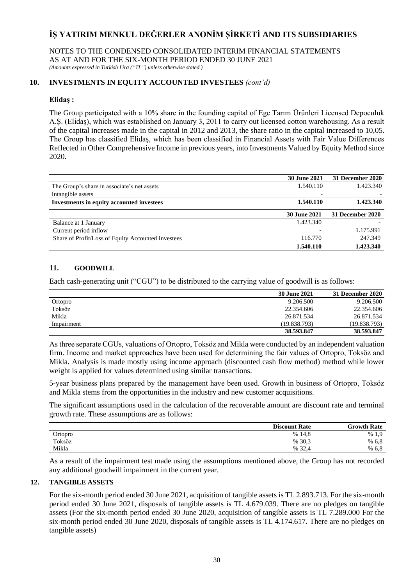NOTES TO THE CONDENSED CONSOLIDATED INTERIM FINANCIAL STATEMENTS AS AT AND FOR THE SIX-MONTH PERIOD ENDED 30 JUNE 2021 *(Amounts expressed in Turkish Lira ("TL") unless otherwise stated.)*

# **10. INVESTMENTS IN EQUITY ACCOUNTED INVESTEES** *(cont'd)*

## **Elidaş :**

The Group participated with a 10% share in the founding capital of Ege Tarım Ürünleri Licensed Depoculuk A.Ş. (Elidaş), which was established on January 3, 2011 to carry out licensed cotton warehousing. As a result of the capital increases made in the capital in 2012 and 2013, the share ratio in the capital increased to 10,05. The Group has classified Elidaş, which has been classified in Financial Assets with Fair Value Differences Reflected in Other Comprehensive Income in previous years, into Investments Valued by Equity Method since 2020.

|                                                    | <b>30 June 2021</b> | 31 December 2020 |
|----------------------------------------------------|---------------------|------------------|
| The Group's share in associate's net assets        | 1.540.110           | 1.423.340        |
| Intangible assets                                  | ۰                   |                  |
| Investments in equity accounted investees          | 1.540.110           | 1.423.340        |
|                                                    |                     |                  |
|                                                    | <b>30 June 2021</b> | 31 December 2020 |
| Balance at 1 January                               | 1.423.340           |                  |
| Current period inflow                              |                     | 1.175.991        |
| Share of Profit/Loss of Equity Accounted Investees | 116.770             | 247.349          |
|                                                    | 1.540.110           | 1.423.340        |

# **11. GOODWILL**

Each cash-generating unit ("CGU") to be distributed to the carrying value of goodwill is as follows:

|            | <b>30 June 2021</b> | 31 December 2020 |
|------------|---------------------|------------------|
| Ortopro    | 9.206.500           | 9.206.500        |
| Toksöz     | 22.354.606          | 22.354.606       |
| Mikla      | 26.871.534          | 26.871.534       |
| Impairment | (19.838.793)        | (19.838.793)     |
|            | 38.593.847          | 38.593.847       |

As three separate CGUs, valuations of Ortopro, Toksöz and Mikla were conducted by an independent valuation firm. Income and market approaches have been used for determining the fair values of Ortopro, Toksöz and Mikla. Analysis is made mostly using income approach (discounted cash flow method) method while lower weight is applied for values determined using similar transactions.

5-year business plans prepared by the management have been used. Growth in business of Ortopro, Toksöz and Mikla stems from the opportunities in the industry and new customer acquisitions.

The significant assumptions used in the calculation of the recoverable amount are discount rate and terminal growth rate. These assumptions are as follows:

|         | <b>Discount Rate</b> | <b>Growth Rate</b> |
|---------|----------------------|--------------------|
| Ortopro | % 14,8               | %1.9               |
| Toksöz  | % 30,3               | % 6.8              |
| Mikla   | % 32.4               | % 6.8              |

As a result of the impairment test made using the assumptions mentioned above, the Group has not recorded any additional goodwill impairment in the current year.

### **12. TANGIBLE ASSETS**

For the six-month period ended 30 June 2021, acquisition of tangible assets is TL 2.893.713. For the six-month period ended 30 June 2021, disposals of tangible assets is TL 4.679.039. There are no pledges on tangible assets (For the six-month period ended 30 June 2020, acquisition of tangible assets is TL 7.289.000 For the six-month period ended 30 June 2020, disposals of tangible assets is TL 4.174.617. There are no pledges on tangible assets)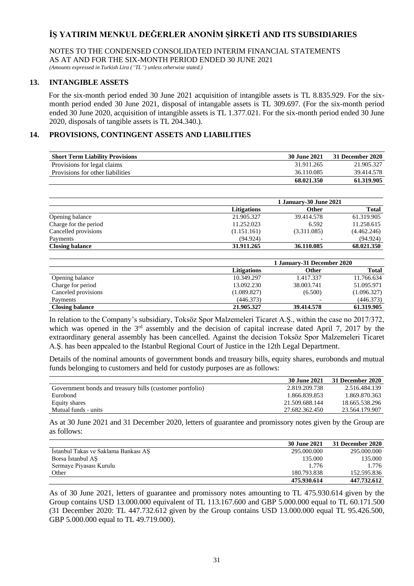NOTES TO THE CONDENSED CONSOLIDATED INTERIM FINANCIAL STATEMENTS AS AT AND FOR THE SIX-MONTH PERIOD ENDED 30 JUNE 2021 *(Amounts expressed in Turkish Lira ("TL") unless otherwise stated.)*

### **13. INTANGIBLE ASSETS**

 For the six-month period ended 30 June 2021 acquisition of intangible assets is TL 8.835.929. For the sixmonth period ended 30 June 2021, disposal of intangable assets is TL 309.697. (For the six-month period ended 30 June 2020, acquisition of intangible assets is TL 1.377.021. For the six-month period ended 30 June 2020, disposals of tangible assets is TL 204.340.).

### **14. PROVISIONS, CONTINGENT ASSETS AND LIABILITIES**

| <b>Short Term Liability Provisions</b> | 30 June 2021 | 31 December 2020 |
|----------------------------------------|--------------|------------------|
| Provisions for legal claims            | 31.911.265   | 21.905.327       |
| Provisions for other liabilities       | 36.110.085   | 39.414.578       |
|                                        | 68.021.350   | 61.319.905       |

|                        | <b>1 January-30 June 2021</b> |             |              |
|------------------------|-------------------------------|-------------|--------------|
|                        | <b>Litigations</b>            | Other       | <b>Total</b> |
| Opening balance        | 21.905.327                    | 39.414.578  | 61.319.905   |
| Charge for the period  | 11.252.023                    | 6.592       | 11.258.615   |
| Cancelled provisions   | (1.151.161)                   | (3.311.085) | (4.462.246)  |
| Payments               | (94.924)                      |             | (94.924)     |
| <b>Closing balance</b> | 31.911.265                    | 36.110.085  | 68.021.350   |

|                        |                    | 1 January-31 December 2020 |              |  |
|------------------------|--------------------|----------------------------|--------------|--|
|                        | <b>Litigations</b> | <b>Other</b>               | <b>Total</b> |  |
| Opening balance        | 10.349.297         | 1.417.337                  | 11.766.634   |  |
| Charge for period      | 13.092.230         | 38.003.741                 | 51.095.971   |  |
| Canceled provisions    | (1.089.827)        | (6.500)                    | (1.096.327)  |  |
| Payments               | (446.373)          | $\overline{\phantom{0}}$   | (446.373)    |  |
| <b>Closing balance</b> | 21.905.327         | 39.414.578                 | 61.319.905   |  |

In relation to the Company's subsidiary, Toksöz Spor Malzemeleri Ticaret A.Ş., within the case no 2017/372, which was opened in the  $3<sup>rd</sup>$  assembly and the decision of capital increase dated April 7, 2017 by the extraordinary general assembly has been cancelled. Against the decision Toksöz Spor Malzemeleri Ticaret A.Ş. has been appealed to the Istanbul Regional Court of Justice in the 12th Legal Department.

Details of the nominal amounts of government bonds and treasury bills, equity shares, eurobonds and mutual funds belonging to customers and held for custody purposes are as follows:

|                                                          | 30 June 2021   | 31 December 2020 |
|----------------------------------------------------------|----------------|------------------|
| Government bonds and treasury bills (customer portfolio) | 2.819.209.738  | 2.516.484.139    |
| Eurobond                                                 | 1.866.839.853  | 1.869.870.363    |
| Equity shares                                            | 21.509.688.144 | 18.665.538.296   |
| Mutual funds - units                                     | 27.682.362.450 | 23.564.179.907   |

As at 30 June 2021 and 31 December 2020, letters of guarantee and promissory notes given by the Group are as follows:

|                                      | 30 June 2021 | 31 December 2020 |
|--------------------------------------|--------------|------------------|
| Istanbul Takas ve Saklama Bankası AS | 295,000,000  | 295.000.000      |
| Borsa Istanbul AS                    | 135,000      | 135.000          |
| Sermaye Piyasası Kurulu              | 1.776        | 1.776            |
| Other                                | 180.793.838  | 152.595.836      |
|                                      | 475.930.614  | 447.732.612      |

As of 30 June 2021, letters of guarantee and promissory notes amounting to TL 475.930.614 given by the Group contains USD 13.000.000 equivalent of TL 113.167.600 and GBP 5.000.000 equal to TL 60.171.500 (31 December 2020: TL 447.732.612 given by the Group contains USD 13.000.000 equal TL 95.426.500, GBP 5.000.000 equal to TL 49.719.000).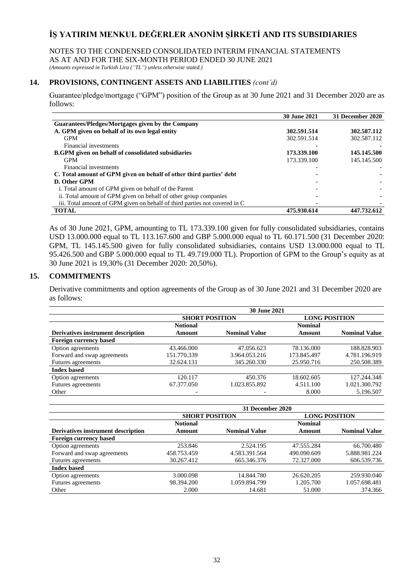# NOTES TO THE CONDENSED CONSOLIDATED INTERIM FINANCIAL STATEMENTS

AS AT AND FOR THE SIX-MONTH PERIOD ENDED 30 JUNE 2021

*(Amounts expressed in Turkish Lira ("TL") unless otherwise stated.)*

# **14. PROVISIONS, CONTINGENT ASSETS AND LIABILITIES** *(cont'd)*

Guarantee/pledge/mortgage ("GPM") position of the Group as at 30 June 2021 and 31 December 2020 are as follows:

|                                                                            | <b>30 June 2021</b> | 31 December 2020 |
|----------------------------------------------------------------------------|---------------------|------------------|
| Guarantees/Pledges/Mortgages given by the Company                          |                     |                  |
| A. GPM given on behalf of its own legal entity                             | 302.591.514         | 302.587.112      |
| <b>GPM</b>                                                                 | 302.591.514         | 302.587.112      |
| Financial investments                                                      |                     |                  |
| <b>B.GPM</b> given on behalf of consolidated subsidiaries                  | 173.339.100         | 145.145.500      |
| <b>GPM</b>                                                                 | 173.339.100         | 145.145.500      |
| Financial investments                                                      |                     |                  |
| C. Total amount of GPM given on behalf of other third parties' debt        |                     |                  |
| D. Other GPM                                                               |                     |                  |
| i. Total amount of GPM given on behalf of the Parent                       |                     |                  |
| ii. Total amount of GPM given on behalf of other group companies           |                     |                  |
| iii. Total amount of GPM given on behalf of third parties not covered in C |                     |                  |
| <b>TOTAL</b>                                                               | 475.930.614         | 447.732.612      |

As of 30 June 2021, GPM, amounting to TL 173.339.100 given for fully consolidated subsidiaries, contains USD 13.000.000 equal to TL 113.167.600 and GBP 5.000.000 equal to TL 60.171.500 (31 December 2020: GPM, TL 145.145.500 given for fully consolidated subsidiaries, contains USD 13.000.000 equal to TL 95.426.500 and GBP 5.000.000 equal to TL 49.719.000 TL). Proportion of GPM to the Group's equity as at 30 June 2021 is 19,30% (31 December 2020: 20,50%).

## **15. COMMITMENTS**

Derivative commitments and option agreements of the Group as of 30 June 2021 and 31 December 2020 are as follows:

|                                    | <b>30 June 2021</b>   |                      |                      |                      |
|------------------------------------|-----------------------|----------------------|----------------------|----------------------|
|                                    | <b>SHORT POSITION</b> |                      | <b>LONG POSITION</b> |                      |
|                                    | <b>Notional</b>       |                      | <b>Nominal</b>       |                      |
| Derivatives instrument description | Amount                | <b>Nominal Value</b> | Amount               | <b>Nominal Value</b> |
| <b>Foreign currency based</b>      |                       |                      |                      |                      |
| Option agreements                  | 43.466.000            | 47.056.623           | 78.136.000           | 188.828.903          |
| Forward and swap agreements        | 151.770.339           | 3.964.053.216        | 173.845.497          | 4.781.196.919        |
| Futures agreements                 | 32.624.131            | 345.260.330          | 25.950.716           | 250.508.389          |
| <b>Index based</b>                 |                       |                      |                      |                      |
| Option agreements                  | 120.117               | 450.376              | 18.602.605           | 127.244.348          |
| Futures agreements                 | 67.377.050            | 1.023.855.892        | 4.511.100            | 1.021.300.792        |
| Other                              |                       |                      | 8.000                | 5.196.507            |

|                                    | 31 December 2020      |                      |                      |                      |
|------------------------------------|-----------------------|----------------------|----------------------|----------------------|
|                                    | <b>SHORT POSITION</b> |                      | <b>LONG POSITION</b> |                      |
|                                    | <b>Notional</b>       |                      | <b>Nominal</b>       |                      |
| Derivatives instrument description | Amount                | <b>Nominal Value</b> | Amount               | <b>Nominal Value</b> |
| <b>Foreign currency based</b>      |                       |                      |                      |                      |
| Option agreements                  | 253.846               | 2.524.195            | 47.555.284           | 66.700.480           |
| Forward and swap agreements        | 458.753.459           | 4.583.391.564        | 490.090.609          | 5.888.981.224        |
| Futures agreements                 | 30.267.412            | 665.346.376          | 72.327.000           | 606.539.736          |
| <b>Index based</b>                 |                       |                      |                      |                      |
| Option agreements                  | 3.000.098             | 14.844.780           | 26.620.205           | 259.930.040          |
| Futures agreements                 | 98.394.200            | 1.059.894.799        | 1.205.700            | 1.057.698.481        |
| Other                              | 2.000                 | 14.681               | 51.000               | 374.366              |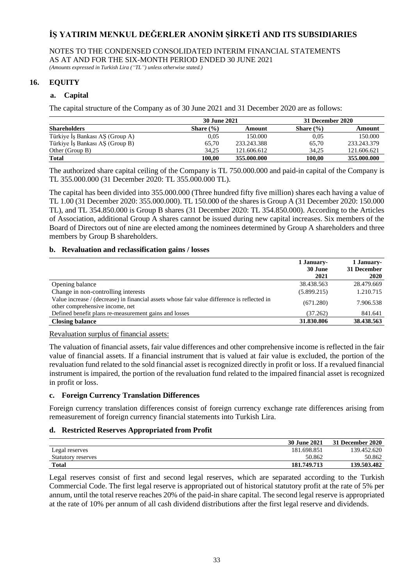NOTES TO THE CONDENSED CONSOLIDATED INTERIM FINANCIAL STATEMENTS AS AT AND FOR THE SIX-MONTH PERIOD ENDED 30 JUNE 2021 *(Amounts expressed in Turkish Lira ("TL") unless otherwise stated.)*

**16. EQUITY**

## **a. Capital**

The capital structure of the Company as of 30 June 2021 and 31 December 2020 are as follows:

|                                 | <b>30 June 2021</b> |             | 31 December 2020 |             |
|---------------------------------|---------------------|-------------|------------------|-------------|
| <b>Shareholders</b>             | Share $(\% )$       | Amount      | Share $(\% )$    | Amount      |
| Türkiye İş Bankası AŞ (Group A) | 0.05                | 150.000     | 0.05             | 150.000     |
| Türkiye İş Bankası AŞ (Group B) | 65.70               | 233.243.388 | 65,70            | 233.243.379 |
| Other (Group B)                 | 34.25               | 121.606.612 | 34.25            | 121.606.621 |
| <b>Total</b>                    | 100.00              | 355,000,000 | 100.00           | 355,000,000 |

The authorized share capital ceiling of the Company is TL 750.000.000 and paid-in capital of the Company is TL 355.000.000 (31 December 2020: TL 355.000.000 TL).

The capital has been divided into 355.000.000 (Three hundred fifty five million) shares each having a value of TL 1.00 (31 December 2020: 355.000.000). TL 150.000 of the shares is Group A (31 December 2020: 150.000 TL), and TL 354.850.000 is Group B shares (31 December 2020: TL 354.850.000). According to the Articles of Association, additional Group A shares cannot be issued during new capital increases. Six members of the Board of Directors out of nine are elected among the nominees determined by Group A shareholders and three members by Group B shareholders.

### **b. Revaluation and reclassification gains / losses**

|                                                                                                                                | 1 January-<br>30 June<br>2021 | 1 January-<br>31 December<br>2020 |
|--------------------------------------------------------------------------------------------------------------------------------|-------------------------------|-----------------------------------|
| Opening balance                                                                                                                | 38.438.563                    | 28.479.669                        |
| Change in non-controlling interests                                                                                            | (5.899.215)                   | 1.210.715                         |
| Value increase / (decrease) in financial assets whose fair value difference is reflected in<br>other comprehensive income, net | (671.280)                     | 7.906.538                         |
| Defined benefit plans re-measurement gains and losses                                                                          | (37.262)                      | 841.641                           |
| <b>Closing balance</b>                                                                                                         | 31.830.806                    | 38.438.563                        |

# Revaluation surplus of financial assets:

The valuation of financial assets, fair value differences and other comprehensive income is reflected in the fair value of financial assets. If a financial instrument that is valued at fair value is excluded, the portion of the revaluation fund related to the sold financial asset is recognized directly in profit or loss. If a revalued financial instrument is impaired, the portion of the revaluation fund related to the impaired financial asset is recognized in profit or loss.

### **c. Foreign Currency Translation Differences**

Foreign currency translation differences consist of foreign currency exchange rate differences arising from remeasurement of foreign currency financial statements into Turkish Lira.

### **d. Restricted Reserves Appropriated from Profit**

|                           | 30 June 2021 | 31 December 2020 |
|---------------------------|--------------|------------------|
| Legal reserves            | 181.698.851  | 139.452.620      |
| <b>Statutory reserves</b> | 50.862       | 50.862           |
| <b>Total</b>              | 181.749.713  | 139.503.482      |

Legal reserves consist of first and second legal reserves, which are separated according to the Turkish Commercial Code. The first legal reserve is appropriated out of historical statutory profit at the rate of 5% per annum, until the total reserve reaches 20% of the paid-in share capital. The second legal reserve is appropriated at the rate of 10% per annum of all cash dividend distributions after the first legal reserve and dividends.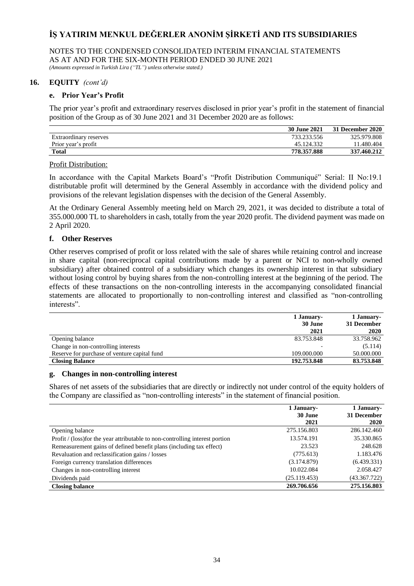# NOTES TO THE CONDENSED CONSOLIDATED INTERIM FINANCIAL STATEMENTS AS AT AND FOR THE SIX-MONTH PERIOD ENDED 30 JUNE 2021

*(Amounts expressed in Turkish Lira ("TL") unless otherwise stated.)*

## **16. EQUITY** *(cont'd)*

## **e. Prior Year's Profit**

The prior year's profit and extraordinary reserves disclosed in prior year's profit in the statement of financial position of the Group as of 30 June 2021 and 31 December 2020 are as follows:

|                        | 30 June 2021 | 31 December 2020 |
|------------------------|--------------|------------------|
| Extraordinary reserves | 733.233.556  | 325.979.808      |
| Prior year's profit    | 45.124.332   | 11.480.404       |
| <b>Total</b>           | 778.357.888  | 337.460.212      |

### Profit Distribution:

In accordance with the Capital Markets Board's "Profit Distribution Communiqué" Serial: II No:19.1 distributable profit will determined by the General Assembly in accordance with the dividend policy and provisions of the relevant legislation dispenses with the decision of the General Assembly.

At the Ordinary General Assembly meeting held on March 29, 2021, it was decided to distribute a total of 355.000.000 TL to shareholders in cash, totally from the year 2020 profit. The dividend payment was made on 2 April 2020.

### **f. Other Reserves**

Other reserves comprised of profit or loss related with the sale of shares while retaining control and increase in share capital (non-reciprocal capital contributions made by a parent or NCI to non-wholly owned subsidiary) after obtained control of a subsidiary which changes its ownership interest in that subsidiary without losing control by buying shares from the non-controlling interest at the beginning of the period. The effects of these transactions on the non-controlling interests in the accompanying consolidated financial statements are allocated to proportionally to non-controlling interest and classified as "non-controlling interests".

|                                              | 1 January-  | 1 January-  |  |
|----------------------------------------------|-------------|-------------|--|
|                                              | 30 June     | 31 December |  |
|                                              | 2021        | 2020        |  |
| Opening balance                              | 83.753.848  | 33.758.962  |  |
| Change in non-controlling interests          |             | (5.114)     |  |
| Reserve for purchase of venture capital fund | 109.000.000 | 50.000.000  |  |
| <b>Closing Balance</b>                       | 192.753.848 | 83.753.848  |  |

#### **g. Changes in non-controlling interest**

Shares of net assets of the subsidiaries that are directly or indirectly not under control of the equity holders of the Company are classified as "non-controlling interests" in the statement of financial position.

|                                                                               | 1 January-   | 1 January-   |
|-------------------------------------------------------------------------------|--------------|--------------|
|                                                                               | 30 June      | 31 December  |
|                                                                               | 2021         | 2020         |
| Opening balance                                                               | 275.156.803  | 286.142.460  |
| Profit / (loss) for the year attributable to non-controlling interest portion | 13.574.191   | 35.330.865   |
| Remeasurement gains of defined benefit plans (including tax effect)           | 23.523       | 248.628      |
| Revaluation and reclassification gains / losses                               | (775.613)    | 1.183.476    |
| Foreign currency translation differences                                      | (3.174.879)  | (6.439.331)  |
| Changes in non-controlling interest                                           | 10.022.084   | 2.058.427    |
| Dividends paid                                                                | (25.119.453) | (43.367.722) |
| <b>Closing balance</b>                                                        | 269.706.656  | 275.156.803  |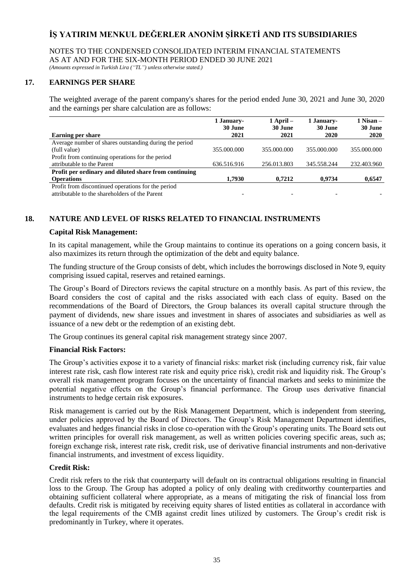NOTES TO THE CONDENSED CONSOLIDATED INTERIM FINANCIAL STATEMENTS AS AT AND FOR THE SIX-MONTH PERIOD ENDED 30 JUNE 2021

*(Amounts expressed in Turkish Lira ("TL") unless otherwise stated.)*

## **17. EARNINGS PER SHARE**

The weighted average of the parent company's shares for the period ended June 30, 2021 and June 30, 2020 and the earnings per share calculation are as follows:

|                                                        | 1 January-  | $1$ April $-$ | 1 January-  | $1$ Nisan $-$ |
|--------------------------------------------------------|-------------|---------------|-------------|---------------|
|                                                        | 30 June     | 30 June       | 30 June     | 30 June       |
| <b>Earning per share</b>                               | 2021        | 2021          | 2020        | 2020          |
| Average number of shares outstanding during the period |             |               |             |               |
| (full value)                                           | 355,000,000 | 355,000,000   | 355,000,000 | 355,000,000   |
| Profit from continuing operations for the period       |             |               |             |               |
| attributable to the Parent                             | 636.516.916 | 256.013.803   | 345.558.244 | 232.403.960   |
| Profit per ordinary and diluted share from continuing  |             |               |             |               |
| <b>Operations</b>                                      | 1.7930      | 0.7212        | 0.9734      | 0,6547        |
| Profit from discontinued operations for the period     |             |               |             |               |
| attributable to the shareholders of the Parent         |             |               |             |               |

# **18. NATURE AND LEVEL OF RISKS RELATED TO FINANCIAL INSTRUMENTS**

### **Capital Risk Management:**

In its capital management, while the Group maintains to continue its operations on a going concern basis, it also maximizes its return through the optimization of the debt and equity balance.

The funding structure of the Group consists of debt, which includes the borrowings disclosed in Note 9, equity comprising issued capital, reserves and retained earnings.

The Group's Board of Directors reviews the capital structure on a monthly basis. As part of this review, the Board considers the cost of capital and the risks associated with each class of equity. Based on the recommendations of the Board of Directors, the Group balances its overall capital structure through the payment of dividends, new share issues and investment in shares of associates and subsidiaries as well as issuance of a new debt or the redemption of an existing debt.

The Group continues its general capital risk management strategy since 2007.

### **Financial Risk Factors:**

The Group's activities expose it to a variety of financial risks: market risk (including currency risk, fair value interest rate risk, cash flow interest rate risk and equity price risk), credit risk and liquidity risk. The Group's overall risk management program focuses on the uncertainty of financial markets and seeks to minimize the potential negative effects on the Group's financial performance. The Group uses derivative financial instruments to hedge certain risk exposures.

Risk management is carried out by the Risk Management Department, which is independent from steering, under policies approved by the Board of Directors. The Group's Risk Management Department identifies, evaluates and hedges financial risks in close co-operation with the Group's operating units. The Board sets out written principles for overall risk management, as well as written policies covering specific areas, such as; foreign exchange risk, interest rate risk, credit risk, use of derivative financial instruments and non-derivative financial instruments, and investment of excess liquidity.

### **Credit Risk:**

Credit risk refers to the risk that counterparty will default on its contractual obligations resulting in financial loss to the Group. The Group has adopted a policy of only dealing with creditworthy counterparties and obtaining sufficient collateral where appropriate, as a means of mitigating the risk of financial loss from defaults. Credit risk is mitigated by receiving equity shares of listed entities as collateral in accordance with the legal requirements of the CMB against credit lines utilized by customers. The Group's credit risk is predominantly in Turkey, where it operates.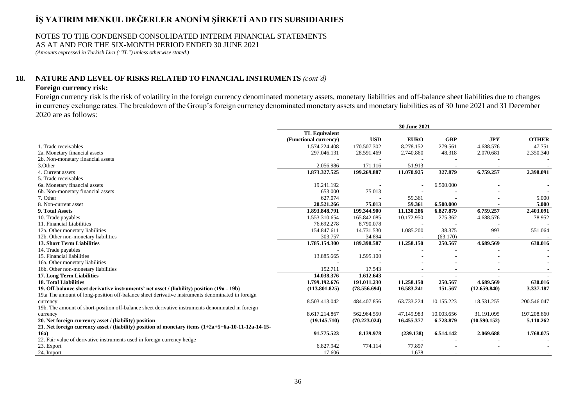### NOTES TO THE CONDENSED CONSOLIDATED INTERIM FINANCIAL STATEMENTS AS AT AND FOR THE SIX-MONTH PERIOD ENDED 30 JUNE 2021

*(Amounts expressed in Turkish Lira ("TL") unless otherwise stated.)*

## **18. NATURE AND LEVEL OF RISKS RELATED TO FINANCIAL INSTRUMENTS** *(cont'd)*

### **Foreign currency risk:**

Foreign currency risk is the risk of volatility in the foreign currency denominated monetary assets, monetary liabilities and off-balance sheet liabilities due to changes in currency exchange rates. The breakdown of the Group's foreign currency denominated monetary assets and monetary liabilities as of 30 June 2021 and 31 December 2020 are as follows:

|                                                                                                                  | 30 June 2021          |              |             |            |              |              |
|------------------------------------------------------------------------------------------------------------------|-----------------------|--------------|-------------|------------|--------------|--------------|
|                                                                                                                  | <b>TL Equivalent</b>  |              |             |            |              |              |
|                                                                                                                  | (Functional currency) | <b>USD</b>   | <b>EURO</b> | <b>GBP</b> | <b>JPY</b>   | <b>OTHER</b> |
| 1. Trade receivables                                                                                             | 1.574.224.408         | 170.507.302  | 8.278.152   | 279.561    | 4.688.576    | 47.751       |
| 2a. Monetary financial assets                                                                                    | 297.046.131           | 28.591.469   | 2.740.860   | 48.318     | 2.070.681    | 2.350.340    |
| 2b. Non-monetary financial assets                                                                                |                       |              |             |            |              |              |
| 3.Other                                                                                                          | 2.056.986             | 171.116      | 51.913      |            |              |              |
| 4. Current assets                                                                                                | 1.873.327.525         | 199.269.887  | 11.070.925  | 327.879    | 6.759.257    | 2.398.091    |
| 5. Trade receivables                                                                                             |                       |              |             |            |              |              |
| 6a. Monetary financial assets                                                                                    | 19.241.192            |              |             | 6.500.000  |              |              |
| 6b. Non-monetary financial assets                                                                                | 653.000               | 75.013       |             |            |              |              |
| 7. Other                                                                                                         | 627.074               |              | 59.361      |            |              | 5.000        |
| 8. Non-current asset                                                                                             | 20.521.266            | 75.013       | 59.361      | 6.500.000  |              | 5.000        |
| 9. Total Assets                                                                                                  | 1.893.848.791         | 199.344.900  | 11.130.286  | 6.827.879  | 6.759.257    | 2.403.091    |
| 10. Trade payables                                                                                               | 1.553.310.654         | 165.842.085  | 10.172.950  | 275.362    | 4.688.576    | 78.952       |
| 11. Financial Liabilities                                                                                        | 76.692.278            | 8.790.078    |             |            |              |              |
| 12a. Other monetary liabilities                                                                                  | 154.847.611           | 14.731.530   | 1.085.200   | 38.375     | 993          | 551.064      |
| 12b. Other non-monetary liabilities                                                                              | 303.757               | 34.894       | $\sim$      | (63.170)   |              |              |
| 13. Short Term Liabilities                                                                                       | 1.785.154.300         | 189.398.587  | 11.258.150  | 250.567    | 4.689.569    | 630.016      |
| 14. Trade payables                                                                                               |                       |              |             |            |              |              |
| 15. Financial liabilities                                                                                        | 13.885.665            | 1.595.100    |             |            |              |              |
| 16a. Other monetary liabilities                                                                                  |                       |              |             |            |              |              |
| 16b. Other non-monetary liabilities                                                                              | 152.711               | 17.543       |             |            |              |              |
| 17. Long Term Liabilities                                                                                        | 14.038.376            | 1.612.643    |             |            |              |              |
| <b>18. Total Liabilities</b>                                                                                     | 1.799.192.676         | 191.011.230  | 11.258.150  | 250.567    | 4.689.569    | 630.016      |
| 19. Off-balance sheet derivative instruments' net asset / (liability) position (19a - 19b)                       | (113.801.825)         | (78.556.694) | 16.583.241  | 151.567    | (12.659.840) | 3.337.187    |
| 19.a The amount of long-position off-balance sheet derivative instruments denominated in foreign                 |                       |              |             |            |              |              |
| currency                                                                                                         | 8.503.413.042         | 484.407.856  | 63.733.224  | 10.155.223 | 18.531.255   | 200.546.047  |
| 19b. The amount of short-position off-balance sheet derivative instruments denominated in foreign                |                       |              |             |            |              |              |
| currency                                                                                                         | 8.617.214.867         | 562.964.550  | 47.149.983  | 10.003.656 | 31.191.095   | 197.208.860  |
| 20. Net foreign currency asset / (liability) position                                                            | (19.145.710)          | (70.223.024) | 16.455.377  | 6.728.879  | (10.590.152) | 5.110.262    |
| 21. Net foreign currency asset / (liability) position of monetary items $(1+2a+5+6a-10-11-12a-14-15-16a-10a-11)$ |                       |              |             |            |              |              |
| 16a)                                                                                                             | 91.775.523            | 8.139.978    | (239.138)   | 6.514.142  | 2.069.688    | 1.768.075    |
| 22. Fair value of derivative instruments used in foreign currency hedge                                          |                       |              |             |            |              |              |
| 23. Export                                                                                                       | 6.827.942             | 774.114      | 77.897      |            |              |              |
| 24. Import                                                                                                       | 17.606                |              | 1.678       |            |              |              |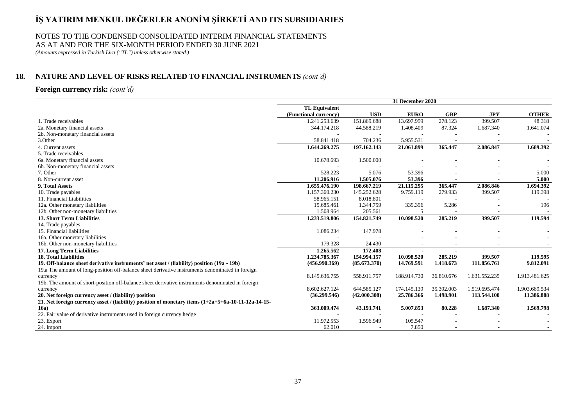### NOTES TO THE CONDENSED CONSOLIDATED INTERIM FINANCIAL STATEMENTS AS AT AND FOR THE SIX-MONTH PERIOD ENDED 30 JUNE 2021

*(Amounts expressed in Turkish Lira ("TL") unless otherwise stated.)*

# **18. NATURE AND LEVEL OF RISKS RELATED TO FINANCIAL INSTRUMENTS** *(cont'd)*

### **Foreign currency risk:** *(cont'd)*

|                                                                                                     | 31 December 2020      |              |             |            |               |               |
|-----------------------------------------------------------------------------------------------------|-----------------------|--------------|-------------|------------|---------------|---------------|
|                                                                                                     | <b>TL Equivalent</b>  |              |             |            |               |               |
|                                                                                                     | (Functional currency) | <b>USD</b>   | <b>EURO</b> | <b>GBP</b> | <b>JPY</b>    | <b>OTHER</b>  |
| 1. Trade receivables                                                                                | 1.241.253.639         | 151.869.688  | 13.697.959  | 278.123    | 399.507       | 48.318        |
| 2a. Monetary financial assets                                                                       | 344.174.218           | 44.588.219   | 1.408.409   | 87.324     | 1.687.340     | 1.641.074     |
| 2b. Non-monetary financial assets                                                                   |                       |              |             |            |               |               |
| 3.Other                                                                                             | 58.841.418            | 704.236      | 5.955.531   |            |               |               |
| 4. Current assets                                                                                   | 1.644.269.275         | 197.162.143  | 21.061.899  | 365.447    | 2.086.847     | 1.689.392     |
| 5. Trade receivables                                                                                |                       |              |             |            |               |               |
| 6a. Monetary financial assets                                                                       | 10.678.693            | 1.500.000    |             |            |               |               |
| 6b. Non-monetary financial assets                                                                   |                       |              |             |            |               |               |
| 7. Other                                                                                            | 528.223               | 5.076        | 53.396      |            |               | 5.000         |
| 8. Non-current asset                                                                                | 11.206.916            | 1.505.076    | 53.396      |            |               | 5.000         |
| 9. Total Assets                                                                                     | 1.655.476.190         | 198.667.219  | 21.115.295  | 365.447    | 2.086.846     | 1.694.392     |
| 10. Trade payables                                                                                  | 1.157.360.230         | 145.252.628  | 9.759.119   | 279.933    | 399.507       | 119.398       |
| 11. Financial Liabilities                                                                           | 58.965.151            | 8.018.801    |             |            |               |               |
| 12a. Other monetary liabilities                                                                     | 15.685.461            | 1.344.759    | 339.396     | 5.286      |               | 196           |
| 12b. Other non-monetary liabilities                                                                 | 1.508.964             | 205.561      |             |            |               |               |
| <b>13. Short Term Liabilities</b>                                                                   | 1.233.519.806         | 154.821.749  | 10.098.520  | 285.219    | 399.507       | 119.594       |
| 14. Trade payables                                                                                  |                       |              |             |            |               |               |
| 15. Financial liabilities                                                                           | 1.086.234             | 147.978      |             |            |               |               |
| 16a. Other monetary liabilities                                                                     |                       |              |             |            |               |               |
| 16b. Other non-monetary liabilities                                                                 | 179.328               | 24.430       |             |            |               |               |
| 17. Long Term Liabilities                                                                           | 1.265.562             | 172.408      |             |            |               |               |
| <b>18. Total Liabilities</b>                                                                        | 1.234.785.367         | 154.994.157  | 10.098.520  | 285.219    | 399.507       | 119.595       |
| 19. Off-balance sheet derivative instruments' net asset / (liability) position (19a - 19b)          | (456.990.369)         | (85.673.370) | 14.769.591  | 1.418.673  | 111.856.761   | 9.812.091     |
| 19.a The amount of long-position off-balance sheet derivative instruments denominated in foreign    |                       |              |             |            |               |               |
| currency                                                                                            | 8.145.636.755         | 558.911.757  | 188.914.730 | 36.810.676 | 1.631.552.235 | 1.913.481.625 |
| 19b. The amount of short-position off-balance sheet derivative instruments denominated in foreign   |                       |              |             |            |               |               |
| currency                                                                                            | 8.602.627.124         | 644.585.127  | 174.145.139 | 35.392.003 | 1.519.695.474 | 1.903.669.534 |
| 20. Net foreign currency asset / (liability) position                                               | (36.299.546)          | (42.000.308) | 25.786.366  | 1.498.901  | 113.544.100   | 11.386.888    |
| 21. Net foreign currency asset / (liability) position of monetary items (1+2a+5+6a-10-11-12a-14-15- |                       |              |             |            |               |               |
| 16a)                                                                                                | 363.009.474           | 43.193.741   | 5.007.853   | 80.228     | 1.687.340     | 1.569.798     |
| 22. Fair value of derivative instruments used in foreign currency hedge                             |                       |              |             |            |               |               |
| 23. Export                                                                                          | 11.972.553            | 1.596.949    | 105.547     |            |               |               |
| 24. Import                                                                                          | 62.010                |              | 7.850       |            |               |               |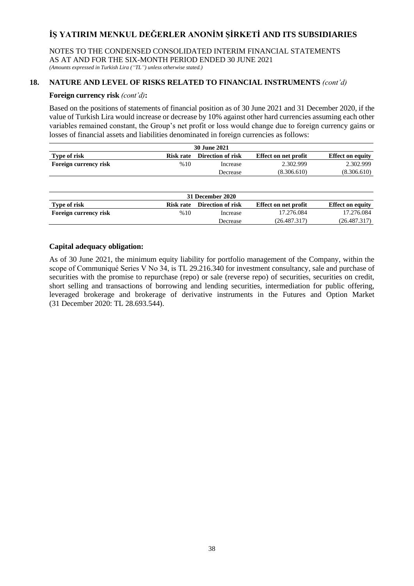NOTES TO THE CONDENSED CONSOLIDATED INTERIM FINANCIAL STATEMENTS AS AT AND FOR THE SIX-MONTH PERIOD ENDED 30 JUNE 2021 *(Amounts expressed in Turkish Lira ("TL") unless otherwise stated.)*

# **18. NATURE AND LEVEL OF RISKS RELATED TO FINANCIAL INSTRUMENTS** *(cont'd)*

## **Foreign currency risk** *(cont'd)***:**

Based on the positions of statements of financial position as of 30 June 2021 and 31 December 2020, if the value of Turkish Lira would increase or decrease by 10% against other hard currencies assuming each other variables remained constant, the Group's net profit or loss would change due to foreign currency gains or losses of financial assets and liabilities denominated in foreign currencies as follows:

| <b>30 June 2021</b>                                                                               |     |          |             |             |  |  |  |
|---------------------------------------------------------------------------------------------------|-----|----------|-------------|-------------|--|--|--|
| <b>Effect on equity</b><br>Type of risk<br>Direction of risk<br>Effect on net profit<br>Risk rate |     |          |             |             |  |  |  |
| Foreign currency risk                                                                             | %10 | Increase | 2.302.999   | 2.302.999   |  |  |  |
|                                                                                                   |     | Decrease | (8.306.610) | (8.306.610) |  |  |  |

| 31 December 2020      |           |                   |                             |                         |  |  |  |
|-----------------------|-----------|-------------------|-----------------------------|-------------------------|--|--|--|
| Type of risk          | Risk rate | Direction of risk | <b>Effect on net profit</b> | <b>Effect on equity</b> |  |  |  |
| Foreign currency risk | %10       | Increase          | 17.276.084                  | 17.276.084              |  |  |  |
|                       |           | Decrease          | (26.487.317)                | (26.487.317)            |  |  |  |

## **Capital adequacy obligation:**

As of 30 June 2021, the minimum equity liability for portfolio management of the Company, within the scope of Communiqué Series V No 34, is TL 29.216.340 for investment consultancy, sale and purchase of securities with the promise to repurchase (repo) or sale (reverse repo) of securities, securities on credit, short selling and transactions of borrowing and lending securities, intermediation for public offering, leveraged brokerage and brokerage of derivative instruments in the Futures and Option Market (31 December 2020: TL 28.693.544).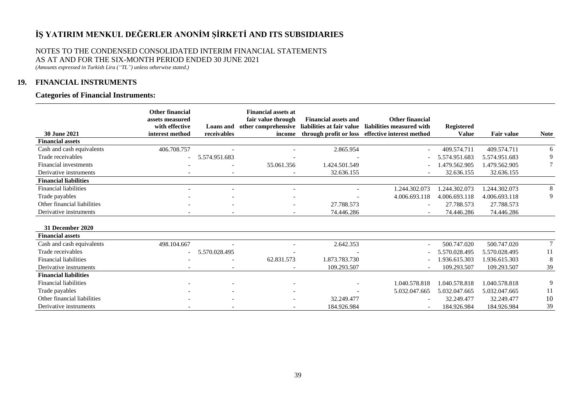# NOTES TO THE CONDENSED CONSOLIDATED INTERIM FINANCIAL STATEMENTS AS AT AND FOR THE SIX-MONTH PERIOD ENDED 30 JUNE 2021

*(Amounts expressed in Turkish Lira ("TL") unless otherwise stated.)*

# **19. FINANCIAL INSTRUMENTS**

## **Categories of Financial Instruments:**

| <b>30 June 2021</b>          | <b>Other financial</b><br>assets measured<br>with effective<br>interest method | receivables              | <b>Financial assets at</b><br>fair value through<br>income | <b>Financial assets and</b><br>Loans and other comprehensive liabilities at fair value | <b>Other financial</b><br>liabilities measured with<br>through profit or loss effective interest method | <b>Registered</b><br><b>Value</b> | <b>Fair value</b> | <b>Note</b> |
|------------------------------|--------------------------------------------------------------------------------|--------------------------|------------------------------------------------------------|----------------------------------------------------------------------------------------|---------------------------------------------------------------------------------------------------------|-----------------------------------|-------------------|-------------|
| <b>Financial assets</b>      |                                                                                |                          |                                                            |                                                                                        |                                                                                                         |                                   |                   |             |
| Cash and cash equivalents    | 406.708.757                                                                    |                          |                                                            | 2.865.954                                                                              |                                                                                                         | 409.574.711                       | 409.574.711       | 6           |
| Trade receivables            |                                                                                | 5.574.951.683            |                                                            |                                                                                        |                                                                                                         | 5.574.951.683                     | 5.574.951.683     | 9           |
| Financial investments        |                                                                                |                          | 55.061.356                                                 | 1.424.501.549                                                                          |                                                                                                         | .479.562.905                      | 1.479.562.905     |             |
| Derivative instruments       | $\overline{\phantom{0}}$                                                       | $\overline{\phantom{a}}$ |                                                            | 32.636.155                                                                             |                                                                                                         | 32.636.155                        | 32.636.155        |             |
| <b>Financial liabilities</b> |                                                                                |                          |                                                            |                                                                                        |                                                                                                         |                                   |                   |             |
| <b>Financial liabilities</b> |                                                                                |                          |                                                            |                                                                                        | 1.244.302.073                                                                                           | 1.244.302.073                     | .244.302.073      | 8           |
| Trade payables               |                                                                                |                          |                                                            |                                                                                        | 4.006.693.118                                                                                           | 4.006.693.118                     | 4.006.693.118     | 9           |
| Other financial liabilities  |                                                                                |                          |                                                            | 27.788.573                                                                             |                                                                                                         | 27.788.573                        | 27.788.573        |             |
| Derivative instruments       |                                                                                |                          |                                                            | 74.446.286                                                                             |                                                                                                         | 74.446.286                        | 74.446.286        |             |
| 31 December 2020             |                                                                                |                          |                                                            |                                                                                        |                                                                                                         |                                   |                   |             |
| <b>Financial assets</b>      |                                                                                |                          |                                                            |                                                                                        |                                                                                                         |                                   |                   |             |
| Cash and cash equivalents    | 498.104.667                                                                    |                          |                                                            | 2.642.353                                                                              | $\overline{\phantom{a}}$                                                                                | 500.747.020                       | 500.747.020       | $\tau$      |
| Trade receivables            |                                                                                | 5.570.028.495            |                                                            |                                                                                        |                                                                                                         | 5.570.028.495                     | 5.570.028.495     | 11          |
| <b>Financial liabilities</b> |                                                                                |                          | 62.831.573                                                 | 1.873.783.730                                                                          |                                                                                                         | .936.615.303                      | 1.936.615.303     | 8           |
| Derivative instruments       |                                                                                |                          |                                                            | 109.293.507                                                                            |                                                                                                         | 109.293.507                       | 109.293.507       | 39          |
| <b>Financial liabilities</b> |                                                                                |                          |                                                            |                                                                                        |                                                                                                         |                                   |                   |             |
| <b>Financial liabilities</b> |                                                                                |                          |                                                            |                                                                                        | 1.040.578.818                                                                                           | 1.040.578.818                     | 1.040.578.818     | 9           |
| Trade payables               |                                                                                |                          |                                                            |                                                                                        | 5.032.047.665                                                                                           | 5.032.047.665                     | 5.032.047.665     | 11          |
| Other financial liabilities  |                                                                                |                          |                                                            | 32.249.477                                                                             |                                                                                                         | 32.249.477                        | 32.249.477        | 10          |
| Derivative instruments       |                                                                                |                          |                                                            | 184.926.984                                                                            |                                                                                                         | 184.926.984                       | 184.926.984       | 39          |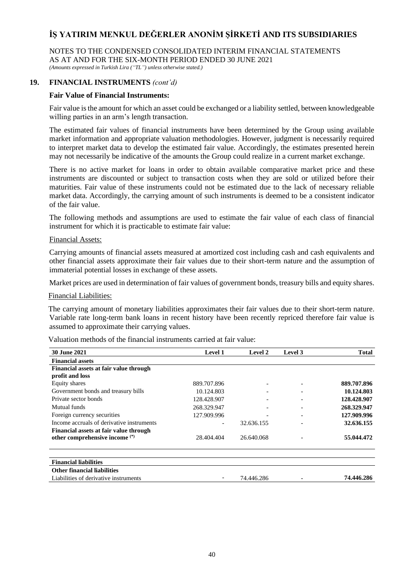NOTES TO THE CONDENSED CONSOLIDATED INTERIM FINANCIAL STATEMENTS AS AT AND FOR THE SIX-MONTH PERIOD ENDED 30 JUNE 2021 *(Amounts expressed in Turkish Lira ("TL") unless otherwise stated.)*

**19. FINANCIAL INSTRUMENTS** *(cont'd)*

## **Fair Value of Financial Instruments:**

Fair value is the amount for which an asset could be exchanged or a liability settled, between knowledgeable willing parties in an arm's length transaction.

The estimated fair values of financial instruments have been determined by the Group using available market information and appropriate valuation methodologies. However, judgment is necessarily required to interpret market data to develop the estimated fair value. Accordingly, the estimates presented herein may not necessarily be indicative of the amounts the Group could realize in a current market exchange.

There is no active market for loans in order to obtain available comparative market price and these instruments are discounted or subject to transaction costs when they are sold or utilized before their maturities. Fair value of these instruments could not be estimated due to the lack of necessary reliable market data. Accordingly, the carrying amount of such instruments is deemed to be a consistent indicator of the fair value.

The following methods and assumptions are used to estimate the fair value of each class of financial instrument for which it is practicable to estimate fair value:

### Financial Assets:

Carrying amounts of financial assets measured at amortized cost including cash and cash equivalents and other financial assets approximate their fair values due to their short-term nature and the assumption of immaterial potential losses in exchange of these assets.

Market prices are used in determination of fair values of government bonds, treasury bills and equity shares.

#### Financial Liabilities:

The carrying amount of monetary liabilities approximates their fair values due to their short-term nature. Variable rate long-term bank loans in recent history have been recently repriced therefore fair value is assumed to approximate their carrying values.

Valuation methods of the financial instruments carried at fair value:

| <b>30 June 2021</b>                                                      | Level 1     | Level 2    | Level 3 | <b>Total</b> |
|--------------------------------------------------------------------------|-------------|------------|---------|--------------|
| <b>Financial assets</b>                                                  |             |            |         |              |
| Financial assets at fair value through                                   |             |            |         |              |
| profit and loss                                                          |             |            |         |              |
| Equity shares                                                            | 889.707.896 |            |         | 889.707.896  |
| Government bonds and treasury bills                                      | 10.124.803  |            |         | 10.124.803   |
| Private sector bonds                                                     | 128.428.907 |            |         | 128.428.907  |
| Mutual funds                                                             | 268.329.947 |            |         | 268.329.947  |
| Foreign currency securities                                              | 127.909.996 |            |         | 127.909.996  |
| Income accruals of derivative instruments                                |             | 32.636.155 |         | 32.636.155   |
| Financial assets at fair value through<br>other comprehensive income (*) | 28.404.404  | 26.640.068 |         | 55.044.472   |
| <b>Financial liabilities</b>                                             |             |            |         |              |
| <b>Other financial liabilities</b>                                       |             |            |         |              |
| Liabilities of derivative instruments                                    |             | 74.446.286 |         | 74.446.286   |